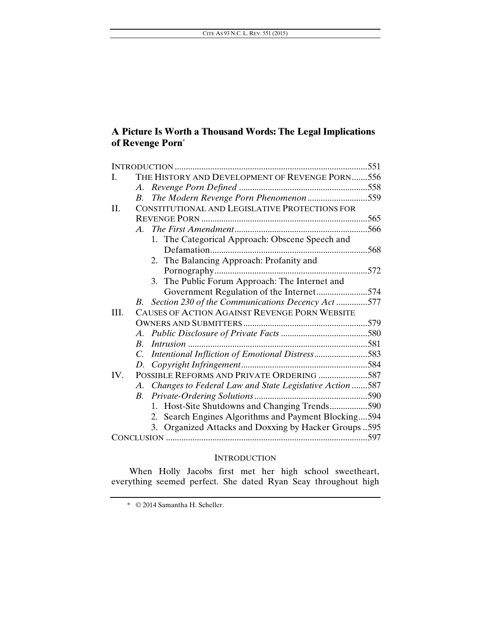# **A Picture Is Worth a Thousand Words: The Legal Implications of Revenge Porn\***

| I.   | THE HISTORY AND DEVELOPMENT OF REVENGE PORN556             |      |
|------|------------------------------------------------------------|------|
|      |                                                            |      |
|      | The Modern Revenge Porn Phenomenon559<br>B.                |      |
| II.  | CONSTITUTIONAL AND LEGISLATIVE PROTECTIONS FOR             |      |
|      |                                                            | .565 |
|      |                                                            |      |
|      | 1. The Categorical Approach: Obscene Speech and            |      |
|      |                                                            | .568 |
|      | 2. The Balancing Approach: Profanity and                   |      |
|      |                                                            |      |
|      | 3. The Public Forum Approach: The Internet and             |      |
|      | Government Regulation of the Internet574                   |      |
|      | Section 230 of the Communications Decency Act 577<br>B.    |      |
| III. | CAUSES OF ACTION AGAINST REVENGE PORN WEBSITE              |      |
|      |                                                            |      |
|      | A.                                                         |      |
|      | $R_{-}$                                                    |      |
|      | Intentional Infliction of Emotional Distress583<br>C.      |      |
|      |                                                            |      |
| IV.  | POSSIBLE REFORMS AND PRIVATE ORDERING 587                  |      |
|      | A. Changes to Federal Law and State Legislative Action 587 |      |
|      |                                                            |      |
|      | 1. Host-Site Shutdowns and Changing Trends590              |      |
|      | 2. Search Engines Algorithms and Payment Blocking594       |      |
|      | 3. Organized Attacks and Doxxing by Hacker Groups 595      |      |
|      |                                                            |      |

## INTRODUCTION

When Holly Jacobs first met her high school sweetheart, everything seemed perfect. She dated Ryan Seay throughout high

 <sup>\* © 2014</sup> Samantha H. Scheller.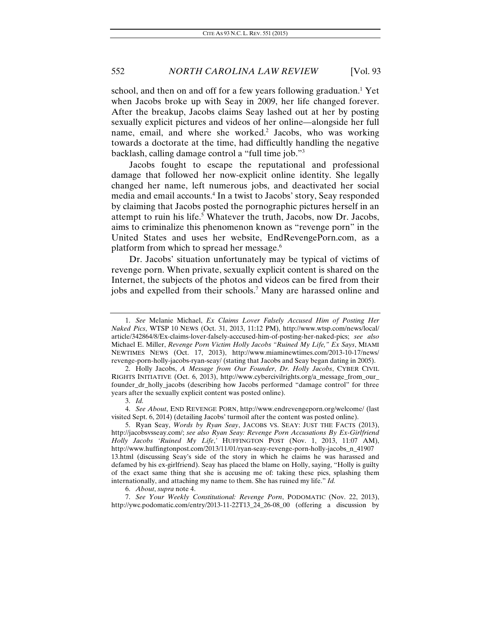school, and then on and off for a few years following graduation.<sup>1</sup> Yet when Jacobs broke up with Seay in 2009, her life changed forever. After the breakup, Jacobs claims Seay lashed out at her by posting sexually explicit pictures and videos of her online—alongside her full name, email, and where she worked.<sup>2</sup> Jacobs, who was working towards a doctorate at the time, had difficultly handling the negative backlash, calling damage control a "full time job."3

Jacobs fought to escape the reputational and professional damage that followed her now-explicit online identity. She legally changed her name, left numerous jobs, and deactivated her social media and email accounts.4 In a twist to Jacobs' story, Seay responded by claiming that Jacobs posted the pornographic pictures herself in an attempt to ruin his life.<sup>5</sup> Whatever the truth, Jacobs, now Dr. Jacobs, aims to criminalize this phenomenon known as "revenge porn" in the United States and uses her website, EndRevengePorn.com, as a platform from which to spread her message.<sup>6</sup>

Dr. Jacobs' situation unfortunately may be typical of victims of revenge porn. When private, sexually explicit content is shared on the Internet, the subjects of the photos and videos can be fired from their jobs and expelled from their schools.7 Many are harassed online and

3. *Id.*

7. *See Your Weekly Constitutional: Revenge Porn*, PODOMATIC (Nov. 22, 2013), http://ywc.podomatic.com/entry/2013-11-22T13\_24\_26-08\_00 (offering a discussion by

<sup>1.</sup> *See* Melanie Michael, *Ex Claims Lover Falsely Accused Him of Posting Her Naked Pics*, WTSP 10 NEWS (Oct. 31, 2013, 11:12 PM), http://www.wtsp.com/news/local/ article/342864/8/Ex-claims-lover-falsely-acccused-him-of-posting-her-naked-pics; *see also* Michael E. Miller, *Revenge Porn Victim Holly Jacobs "Ruined My Life," Ex Says*, MIAMI NEWTIMES NEWS (Oct. 17, 2013), http://www.miaminewtimes.com/2013-10-17/news/ revenge-porn-holly-jacobs-ryan-seay/ (stating that Jacobs and Seay began dating in 2005).

<sup>2.</sup> Holly Jacobs, *A Message from Our Founder*, *Dr. Holly Jacobs*, CYBER CIVIL RIGHTS INITIATIVE (Oct. 6, 2013), http://www.cybercivilrights.org/a\_message\_from\_our\_ founder\_dr\_holly\_jacobs (describing how Jacobs performed "damage control" for three years after the sexually explicit content was posted online).

<sup>4.</sup> *See About*, END REVENGE PORN, http://www.endrevengeporn.org/welcome/ (last visited Sept. 6, 2014) (detailing Jacobs' turmoil after the content was posted online).

 <sup>5.</sup> Ryan Seay, *Words by Ryan Seay*, JACOBS VS. SEAY: JUST THE FACTS (2013), http://jacobsvsseay.com/; *see also Ryan Seay: Revenge Porn Accusations By Ex-Girlfriend Holly Jacobs 'Ruined My Life*,*'* HUFFINGTON POST (Nov. 1, 2013, 11:07 AM), http://www.huffingtonpost.com/2013/11/01/ryan-seay-revenge-porn-holly-jacobs\_n\_41907 13.html (discussing Seay's side of the story in which he claims he was harassed and defamed by his ex-girlfriend). Seay has placed the blame on Holly, saying, "Holly is guilty of the exact same thing that she is accusing me of: taking these pics, splashing them internationally, and attaching my name to them. She has ruined my life." *Id.*

<sup>6.</sup> *About*, *supra* note 4.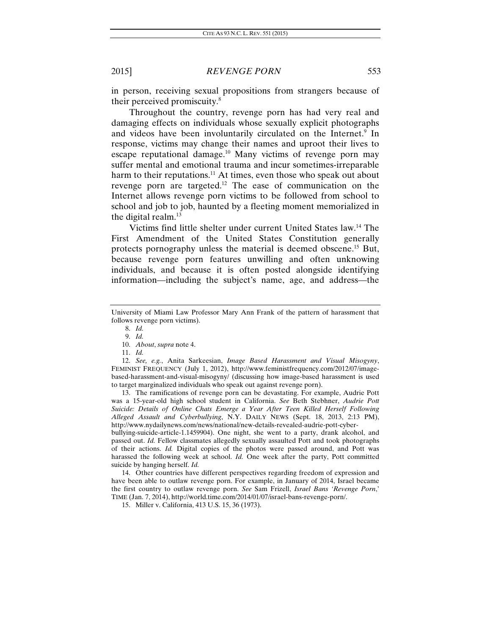in person, receiving sexual propositions from strangers because of their perceived promiscuity.<sup>8</sup>

Throughout the country, revenge porn has had very real and damaging effects on individuals whose sexually explicit photographs and videos have been involuntarily circulated on the Internet.<sup>9</sup> In response, victims may change their names and uproot their lives to escape reputational damage.<sup>10</sup> Many victims of revenge porn may suffer mental and emotional trauma and incur sometimes-irreparable harm to their reputations.<sup>11</sup> At times, even those who speak out about revenge porn are targeted.<sup>12</sup> The ease of communication on the Internet allows revenge porn victims to be followed from school to school and job to job, haunted by a fleeting moment memorialized in the digital realm.<sup>13</sup>

Victims find little shelter under current United States law.14 The First Amendment of the United States Constitution generally protects pornography unless the material is deemed obscene.15 But, because revenge porn features unwilling and often unknowing individuals, and because it is often posted alongside identifying information—including the subject's name, age, and address—the

9. *Id.* 

 13. The ramifications of revenge porn can be devastating. For example, Audrie Pott was a 15-year-old high school student in California. *See* Beth Stebhner, *Audrie Pott Suicide: Details of Online Chats Emerge a Year After Teen Killed Herself Following Alleged Assault and Cyberbullying*, N.Y. DAILY NEWS (Sept. 18, 2013, 2:13 PM), http://www.nydailynews.com/news/national/new-details-revealed-audrie-pott-cyber-

bullying-suicide-article-1.1459904). One night, she went to a party, drank alcohol, and passed out. *Id.* Fellow classmates allegedly sexually assaulted Pott and took photographs of their actions. *Id.* Digital copies of the photos were passed around, and Pott was harassed the following week at school. *Id.* One week after the party, Pott committed suicide by hanging herself. *Id.* 

 14. Other countries have different perspectives regarding freedom of expression and have been able to outlaw revenge porn. For example, in January of 2014, Israel became the first country to outlaw revenge porn. *See* Sam Frizell, *Israel Bans 'Revenge Porn*,' TIME (Jan. 7, 2014), http://world.time.com/2014/01/07/israel-bans-revenge-porn/.

15. Miller v. California, 413 U.S. 15, 36 (1973).

University of Miami Law Professor Mary Ann Frank of the pattern of harassment that follows revenge porn victims).

<sup>8.</sup> *Id.*

 <sup>10.</sup> *About*, *supra* note 4.

<sup>11.</sup> *Id.* 

<sup>12.</sup> *See, e.g.*, Anita Sarkeesian, *Image Based Harassment and Visual Misogyny*, FEMINIST FREQUENCY (July 1, 2012), http://www.feministfrequency.com/2012/07/imagebased-harassment-and-visual-misogyny/ (discussing how image-based harassment is used to target marginalized individuals who speak out against revenge porn).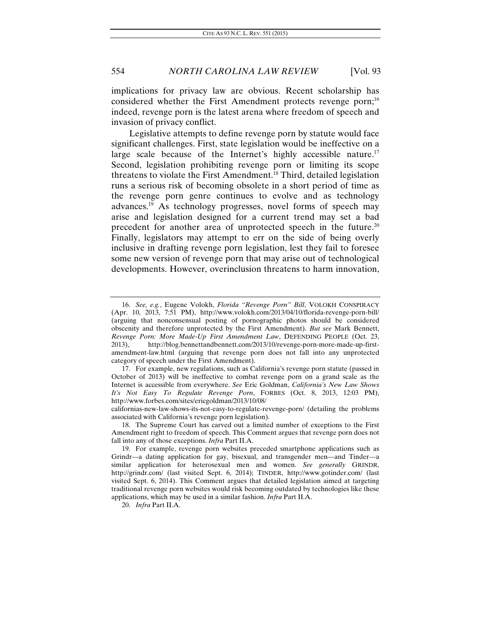implications for privacy law are obvious. Recent scholarship has considered whether the First Amendment protects revenge porn;<sup>16</sup> indeed, revenge porn is the latest arena where freedom of speech and invasion of privacy conflict.

Legislative attempts to define revenge porn by statute would face significant challenges. First, state legislation would be ineffective on a large scale because of the Internet's highly accessible nature.<sup>17</sup> Second, legislation prohibiting revenge porn or limiting its scope threatens to violate the First Amendment.18 Third, detailed legislation runs a serious risk of becoming obsolete in a short period of time as the revenge porn genre continues to evolve and as technology advances.19 As technology progresses, novel forms of speech may arise and legislation designed for a current trend may set a bad precedent for another area of unprotected speech in the future.<sup>20</sup> Finally, legislators may attempt to err on the side of being overly inclusive in drafting revenge porn legislation, lest they fail to foresee some new version of revenge porn that may arise out of technological developments. However, overinclusion threatens to harm innovation,

20. *Infra* Part II.A.

<sup>16.</sup> *See, e.g.*, Eugene Volokh, *Florida "Revenge Porn" Bill*, VOLOKH CONSPIRACY (Apr. 10, 2013, 7:51 PM), http://www.volokh.com/2013/04/10/florida-revenge-porn-bill/ (arguing that nonconsensual posting of pornographic photos should be considered obscenity and therefore unprotected by the First Amendment). *But see* Mark Bennett, *Revenge Porn: More Made-Up First Amendment Law*, DEFENDING PEOPLE (Oct. 23, 2013), http://blog.bennettandbennett.com/2013/10/revenge-porn-more-made-up-firstamendment-law.html (arguing that revenge porn does not fall into any unprotected category of speech under the First Amendment).

 <sup>17.</sup> For example, new regulations, such as California's revenge porn statute (passed in October of 2013) will be ineffective to combat revenge porn on a grand scale as the Internet is accessible from everywhere. *See* Eric Goldman, *California's New Law Shows It's Not Easy To Regulate Revenge Porn*, FORBES (Oct. 8, 2013, 12:03 PM), http://www.forbes.com/sites/ericgoldman/2013/10/08/

californias-new-law-shows-its-not-easy-to-regulate-revenge-porn/ (detailing the problems associated with California's revenge porn legislation).

 <sup>18.</sup> The Supreme Court has carved out a limited number of exceptions to the First Amendment right to freedom of speech. This Comment argues that revenge porn does not fall into any of those exceptions. *Infra* Part II.A.

 <sup>19.</sup> For example, revenge porn websites preceded smartphone applications such as Grindr—a dating application for gay, bisexual, and transgender men—and Tinder—a similar application for heterosexual men and women. *See generally* GRINDR, http://grindr.com/ (last visited Sept. 6, 2014); TINDER, http://www.gotinder.com/ (last visited Sept. 6, 2014). This Comment argues that detailed legislation aimed at targeting traditional revenge porn websites would risk becoming outdated by technologies like these applications, which may be used in a similar fashion. *Infra* Part II.A.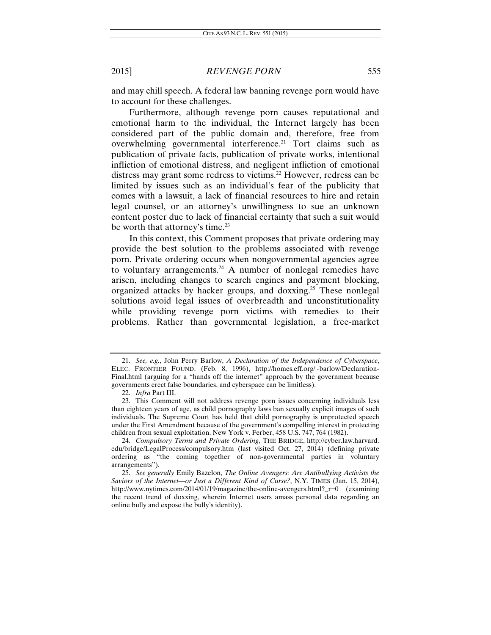and may chill speech. A federal law banning revenge porn would have to account for these challenges.

Furthermore, although revenge porn causes reputational and emotional harm to the individual, the Internet largely has been considered part of the public domain and, therefore, free from overwhelming governmental interference.21 Tort claims such as publication of private facts, publication of private works, intentional infliction of emotional distress, and negligent infliction of emotional distress may grant some redress to victims.<sup>22</sup> However, redress can be limited by issues such as an individual's fear of the publicity that comes with a lawsuit, a lack of financial resources to hire and retain legal counsel, or an attorney's unwillingness to sue an unknown content poster due to lack of financial certainty that such a suit would be worth that attorney's time.<sup>23</sup>

In this context, this Comment proposes that private ordering may provide the best solution to the problems associated with revenge porn. Private ordering occurs when nongovernmental agencies agree to voluntary arrangements.<sup>24</sup> A number of nonlegal remedies have arisen, including changes to search engines and payment blocking, organized attacks by hacker groups, and doxxing.25 These nonlegal solutions avoid legal issues of overbreadth and unconstitutionality while providing revenge porn victims with remedies to their problems. Rather than governmental legislation, a free-market

<sup>21.</sup> *See, e.g.*, John Perry Barlow, *A Declaration of the Independence of Cyberspace*, ELEC. FRONTIER FOUND. (Feb. 8, 1996), http://homes.eff.org/~barlow/Declaration-Final.html (arguing for a "hands off the internet" approach by the government because governments erect false boundaries, and cyberspace can be limitless).

<sup>22.</sup> *Infra* Part III.

 <sup>23.</sup> This Comment will not address revenge porn issues concerning individuals less than eighteen years of age, as child pornography laws ban sexually explicit images of such individuals. The Supreme Court has held that child pornography is unprotected speech under the First Amendment because of the government's compelling interest in protecting children from sexual exploitation. New York v. Ferber, 458 U.S. 747, 764 (1982).

 <sup>24.</sup> *Compulsory Terms and Private Ordering*, THE BRIDGE, http://cyber.law.harvard. edu/bridge/LegalProcess/compulsory.htm (last visited Oct. 27, 2014) (defining private ordering as "the coming together of non-governmental parties in voluntary arrangements").

<sup>25.</sup> *See generally* Emily Bazelon, *The Online Avengers: Are Antibullying Activists the Saviors of the Internet—or Just a Different Kind of Curse?*, N.Y. TIMES (Jan. 15, 2014), http://www.nytimes.com/2014/01/19/magazine/the-online-avengers.html?\_r=0 (examining the recent trend of doxxing, wherein Internet users amass personal data regarding an online bully and expose the bully's identity).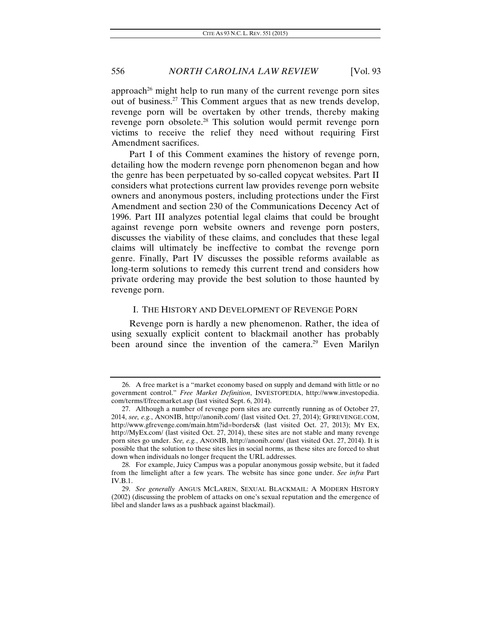approach<sup>26</sup> might help to run many of the current revenge porn sites out of business.27 This Comment argues that as new trends develop, revenge porn will be overtaken by other trends, thereby making revenge porn obsolete.28 This solution would permit revenge porn victims to receive the relief they need without requiring First Amendment sacrifices.

Part I of this Comment examines the history of revenge porn, detailing how the modern revenge porn phenomenon began and how the genre has been perpetuated by so-called copycat websites. Part II considers what protections current law provides revenge porn website owners and anonymous posters, including protections under the First Amendment and section 230 of the Communications Decency Act of 1996. Part III analyzes potential legal claims that could be brought against revenge porn website owners and revenge porn posters, discusses the viability of these claims, and concludes that these legal claims will ultimately be ineffective to combat the revenge porn genre. Finally, Part IV discusses the possible reforms available as long-term solutions to remedy this current trend and considers how private ordering may provide the best solution to those haunted by revenge porn.

#### I. THE HISTORY AND DEVELOPMENT OF REVENGE PORN

Revenge porn is hardly a new phenomenon. Rather, the idea of using sexually explicit content to blackmail another has probably been around since the invention of the camera.<sup>29</sup> Even Marilyn

 <sup>26.</sup> A free market is a "market economy based on supply and demand with little or no government control." *Free Market Definition*, INVESTOPEDIA, http://www.investopedia. com/terms/f/freemarket.asp (last visited Sept. 6, 2014).

 <sup>27.</sup> Although a number of revenge porn sites are currently running as of October 27, 2014, *see, e.g.*, ANONIB, http://anonib.com/ (last visited Oct. 27, 2014); GFREVENGE.COM, http://www.gfrevenge.com/main.htm?id=borders& (last visited Oct. 27, 2013); MY EX, http://MyEx.com/ (last visited Oct. 27, 2014), these sites are not stable and many revenge porn sites go under. *See, e.g.*, ANONIB, http://anonib.com/ (last visited Oct. 27, 2014). It is possible that the solution to these sites lies in social norms, as these sites are forced to shut down when individuals no longer frequent the URL addresses.

 <sup>28.</sup> For example, Juicy Campus was a popular anonymous gossip website, but it faded from the limelight after a few years. The website has since gone under. *See infra* Part IV.B.1.

<sup>29.</sup> *See generally* ANGUS MCLAREN, SEXUAL BLACKMAIL: A MODERN HISTORY (2002) (discussing the problem of attacks on one's sexual reputation and the emergence of libel and slander laws as a pushback against blackmail).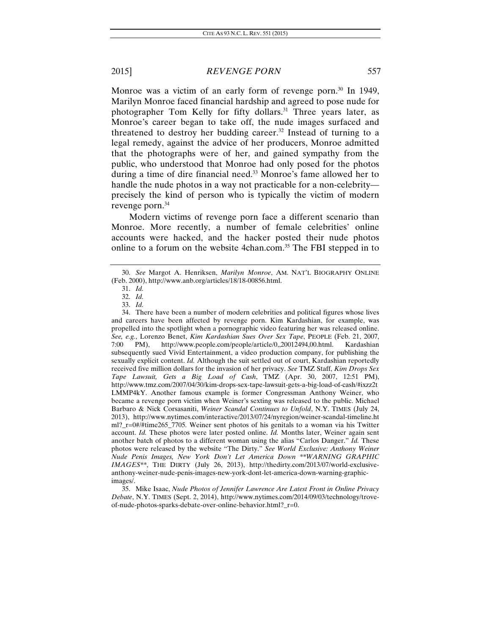Monroe was a victim of an early form of revenge porn.<sup>30</sup> In 1949, Marilyn Monroe faced financial hardship and agreed to pose nude for photographer Tom Kelly for fifty dollars.<sup>31</sup> Three years later, as Monroe's career began to take off, the nude images surfaced and threatened to destroy her budding career.<sup>32</sup> Instead of turning to a legal remedy, against the advice of her producers, Monroe admitted that the photographs were of her, and gained sympathy from the public, who understood that Monroe had only posed for the photos during a time of dire financial need.<sup>33</sup> Monroe's fame allowed her to handle the nude photos in a way not practicable for a non-celebrity precisely the kind of person who is typically the victim of modern revenge porn.<sup>34</sup>

Modern victims of revenge porn face a different scenario than Monroe. More recently, a number of female celebrities' online accounts were hacked, and the hacker posted their nude photos online to a forum on the website 4chan.com.<sup>35</sup> The FBI stepped in to

<sup>30.</sup> *See* Margot A. Henriksen, *Marilyn Monroe*, AM. NAT'L BIOGRAPHY ONLINE (Feb. 2000), http://www.anb.org/articles/18/18-00856.html.

<sup>31.</sup> *Id.* 

<sup>32.</sup> *Id.* 

<sup>33.</sup> *Id.* 

 <sup>34.</sup> There have been a number of modern celebrities and political figures whose lives and careers have been affected by revenge porn. Kim Kardashian, for example, was propelled into the spotlight when a pornographic video featuring her was released online. *See, e.g.*, Lorenzo Benet, *Kim Kardashian Sues Over Sex Tape*, PEOPLE (Feb. 21, 2007, 7:00 PM), http://www.people.com/people/article/0,,20012494,00.html. Kardashian subsequently sued Vivid Entertainment, a video production company, for publishing the sexually explicit content. *Id.* Although the suit settled out of court, Kardashian reportedly received five million dollars for the invasion of her privacy. *See* TMZ Staff, *Kim Drops Sex Tape Lawsuit, Gets a Big Load of Cash*, TMZ (Apr. 30, 2007, 12:51 PM), http://www.tmz.com/2007/04/30/kim-drops-sex-tape-lawsuit-gets-a-big-load-of-cash/#ixzz2t LMMP4kY. Another famous example is former Congressman Anthony Weiner, who became a revenge porn victim when Weiner's sexting was released to the public. Michael Barbaro & Nick Corsasaniti, *Weiner Scandal Continues to Unfold*, N.Y. TIMES (July 24, 2013), http://www.nytimes.com/interactive/2013/07/24/nyregion/weiner-scandal-timeline.ht ml?\_r=0#/#time265\_7705. Weiner sent photos of his genitals to a woman via his Twitter account. *Id.* These photos were later posted online. *Id.* Months later, Weiner again sent another batch of photos to a different woman using the alias "Carlos Danger." *Id.* These photos were released by the website "The Dirty." *See World Exclusive: Anthony Weiner Nude Penis Images, New York Don't Let America Down \*\*WARNING GRAPHIC IMAGES\*\**, THE DIRTY (July 26, 2013), http://thedirty.com/2013/07/world-exclusiveanthony-weiner-nude-penis-images-new-york-dont-let-america-down-warning-graphicimages/.

 <sup>35.</sup> Mike Isaac, *Nude Photos of Jennifer Lawrence Are Latest Front in Online Privacy Debate*, N.Y. TIMES (Sept. 2, 2014), http://www.nytimes.com/2014/09/03/technology/troveof-nude-photos-sparks-debate-over-online-behavior.html?\_r=0.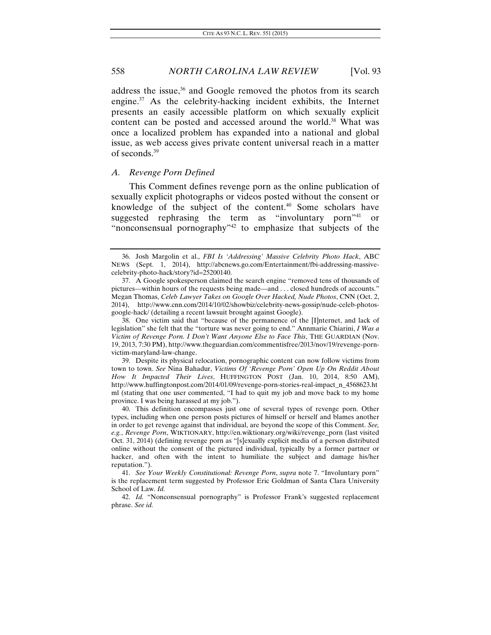address the issue,<sup>36</sup> and Google removed the photos from its search engine.37 As the celebrity-hacking incident exhibits, the Internet presents an easily accessible platform on which sexually explicit content can be posted and accessed around the world.<sup>38</sup> What was once a localized problem has expanded into a national and global issue, as web access gives private content universal reach in a matter of seconds.39

#### *A. Revenge Porn Defined*

This Comment defines revenge porn as the online publication of sexually explicit photographs or videos posted without the consent or knowledge of the subject of the content.<sup>40</sup> Some scholars have suggested rephrasing the term as "involuntary porn"<sup>41</sup> or suggested rephrasing the term as "involuntary porn"<sup>41</sup> or "nonconsensual pornography"42 to emphasize that subjects of the

 <sup>36.</sup> Josh Margolin et al., *FBI Is 'Addressing' Massive Celebrity Photo Hack*, ABC NEWS (Sept. 1, 2014), http://abcnews.go.com/Entertainment/fbi-addressing-massivecelebrity-photo-hack/story?id=25200140.

 <sup>37.</sup> A Google spokesperson claimed the search engine "removed tens of thousands of pictures—within hours of the requests being made—and . . . closed hundreds of accounts." Megan Thomas, *Celeb Lawyer Takes on Google Over Hacked, Nude Photos*, CNN (Oct. 2, 2014), http://www.cnn.com/2014/10/02/showbiz/celebrity-news-gossip/nude-celeb-photosgoogle-hack/ (detailing a recent lawsuit brought against Google).

 <sup>38.</sup> One victim said that "because of the permanence of the [I]nternet, and lack of legislation" she felt that the "torture was never going to end." Annmarie Chiarini, *I Was a Victim of Revenge Porn. I Don't Want Anyone Else to Face This*, THE GUARDIAN (Nov. 19, 2013, 7:30 PM), http://www.theguardian.com/commentisfree/2013/nov/19/revenge-pornvictim-maryland-law-change.

 <sup>39.</sup> Despite its physical relocation, pornographic content can now follow victims from town to town. *See* Nina Bahadur, *Victims Of 'Revenge Porn' Open Up On Reddit About How It Impacted Their Lives*, HUFFINGTON POST (Jan. 10, 2014, 8:50 AM), http://www.huffingtonpost.com/2014/01/09/revenge-porn-stories-real-impact\_n\_4568623.ht ml (stating that one user commented, "I had to quit my job and move back to my home province. I was being harassed at my job.").

 <sup>40.</sup> This definition encompasses just one of several types of revenge porn. Other types, including when one person posts pictures of himself or herself and blames another in order to get revenge against that individual, are beyond the scope of this Comment. *See, e.g.*, *Revenge Porn*, WIKTIONARY, http://en.wiktionary.org/wiki/revenge\_porn (last visited Oct. 31, 2014) (defining revenge porn as "[s]exually explicit media of a person distributed online without the consent of the pictured individual, typically by a former partner or hacker, and often with the intent to humiliate the subject and damage his/her reputation.").

<sup>41.</sup> *See Your Weekly Constitutional: Revenge Porn*, *supra* note 7. "Involuntary porn" is the replacement term suggested by Professor Eric Goldman of Santa Clara University School of Law. *Id.* 

<sup>42.</sup> *Id.* "Nonconsensual pornography" is Professor Frank's suggested replacement phrase. *See id.*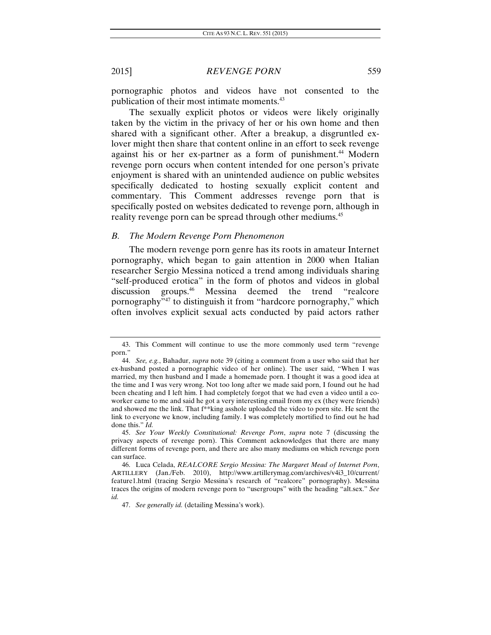pornographic photos and videos have not consented to the publication of their most intimate moments.<sup>43</sup>

The sexually explicit photos or videos were likely originally taken by the victim in the privacy of her or his own home and then shared with a significant other. After a breakup, a disgruntled exlover might then share that content online in an effort to seek revenge against his or her ex-partner as a form of punishment.<sup>44</sup> Modern revenge porn occurs when content intended for one person's private enjoyment is shared with an unintended audience on public websites specifically dedicated to hosting sexually explicit content and commentary. This Comment addresses revenge porn that is specifically posted on websites dedicated to revenge porn, although in reality revenge porn can be spread through other mediums.<sup>45</sup>

### *B. The Modern Revenge Porn Phenomenon*

The modern revenge porn genre has its roots in amateur Internet pornography, which began to gain attention in 2000 when Italian researcher Sergio Messina noticed a trend among individuals sharing "self-produced erotica" in the form of photos and videos in global discussion groups.46 Messina deemed the trend "realcore pornography"47 to distinguish it from "hardcore pornography," which often involves explicit sexual acts conducted by paid actors rather

 <sup>43.</sup> This Comment will continue to use the more commonly used term "revenge porn."

<sup>44.</sup> *See, e.g.*, Bahadur, *supra* note 39 (citing a comment from a user who said that her ex-husband posted a pornographic video of her online). The user said, "When I was married, my then husband and I made a homemade porn. I thought it was a good idea at the time and I was very wrong. Not too long after we made said porn, I found out he had been cheating and I left him. I had completely forgot that we had even a video until a coworker came to me and said he got a very interesting email from my ex (they were friends) and showed me the link. That f\*\*king asshole uploaded the video to porn site. He sent the link to everyone we know, including family. I was completely mortified to find out he had done this." *Id.*

<sup>45.</sup> *See Your Weekly Constitutional: Revenge Porn*, *supra* note 7 (discussing the privacy aspects of revenge porn). This Comment acknowledges that there are many different forms of revenge porn, and there are also many mediums on which revenge porn can surface.

 <sup>46.</sup> Luca Celada, *REALCORE Sergio Messina: The Margaret Mead of Internet Porn*, ARTILLERY (Jan./Feb. 2010), http://www.artillerymag.com/archives/v4i3\_10/current/ feature1.html (tracing Sergio Messina's research of "realcore" pornography). Messina traces the origins of modern revenge porn to "usergroups" with the heading "alt.sex." *See id.* 

 <sup>47.</sup> *See generally id.* (detailing Messina's work).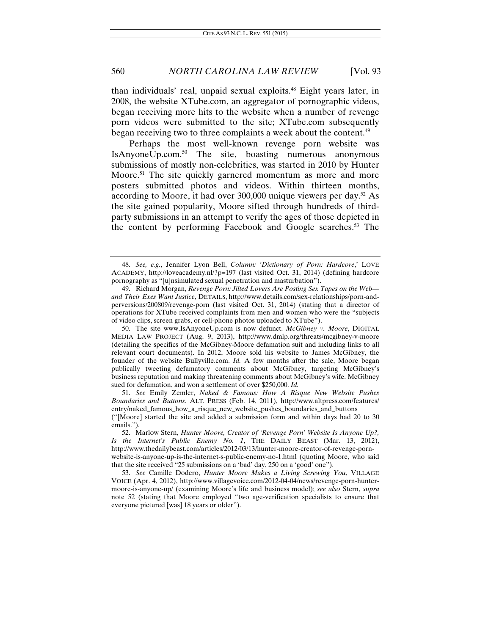than individuals' real, unpaid sexual exploits.48 Eight years later, in 2008, the website XTube.com, an aggregator of pornographic videos, began receiving more hits to the website when a number of revenge porn videos were submitted to the site; XTube.com subsequently began receiving two to three complaints a week about the content.<sup>49</sup>

Perhaps the most well-known revenge porn website was IsAnyoneUp.com.50 The site, boasting numerous anonymous submissions of mostly non-celebrities, was started in 2010 by Hunter Moore.<sup>51</sup> The site quickly garnered momentum as more and more posters submitted photos and videos. Within thirteen months, according to Moore, it had over 300,000 unique viewers per day.<sup>52</sup> As the site gained popularity, Moore sifted through hundreds of thirdparty submissions in an attempt to verify the ages of those depicted in the content by performing Facebook and Google searches.53 The

51. *See* Emily Zemler, *Naked & Famous: How A Risque New Website Pushes Boundaries and Buttons*, ALT. PRESS (Feb. 14, 2011), http://www.altpress.com/features/ entry/naked\_famous\_how\_a\_risque\_new\_website\_pushes\_boundaries\_and\_buttons ("[Moore] started the site and added a submission form and within days had 20 to 30

emails.").

 <sup>48.</sup> *See, e.g.*, Jennifer Lyon Bell, *Column: 'Dictionary of Porn: Hardcore*,' LOVE ACADEMY, http://loveacademy.nl/?p=197 (last visited Oct. 31, 2014) (defining hardcore pornography as "[u]nsimulated sexual penetration and masturbation").

 <sup>49.</sup> Richard Morgan, *Revenge Porn: Jilted Lovers Are Posting Sex Tapes on the Web and Their Exes Want Justice*, DETAILS, http://www.details.com/sex-relationships/porn-andperversions/200809/revenge-porn (last visited Oct. 31, 2014) (stating that a director of operations for XTube received complaints from men and women who were the "subjects of video clips, screen grabs, or cell-phone photos uploaded to XTube").

 <sup>50.</sup> The site www.IsAnyoneUp.com is now defunct. *McGibney v. Moore*, DIGITAL MEDIA LAW PROJECT (Aug. 9, 2013), http://www.dmlp.org/threats/mcgibney-v-moore (detailing the specifics of the McGibney-Moore defamation suit and including links to all relevant court documents). In 2012, Moore sold his website to James McGibney, the founder of the website Bullyville.com. *Id.* A few months after the sale, Moore began publically tweeting defamatory comments about McGibney, targeting McGibney's business reputation and making threatening comments about McGibney's wife. McGibney sued for defamation, and won a settlement of over \$250,000. *Id.*

 <sup>52.</sup> Marlow Stern, *Hunter Moore, Creator of 'Revenge Porn' Website Is Anyone Up?, Is the Internet's Public Enemy No. 1*, THE DAILY BEAST (Mar. 13, 2012), http://www.thedailybeast.com/articles/2012/03/13/hunter-moore-creator-of-revenge-pornwebsite-is-anyone-up-is-the-internet-s-public-enemy-no-1.html (quoting Moore, who said that the site received "25 submissions on a 'bad' day, 250 on a 'good' one").

<sup>53.</sup> *See* Camille Dodero, *Hunter Moore Makes a Living Screwing You*, VILLAGE VOICE (Apr. 4, 2012), http://www.villagevoice.com/2012-04-04/news/revenge-porn-huntermoore-is-anyone-up/ (examining Moore's life and business model); *see also* Stern, *supra* note 52 (stating that Moore employed "two age-verification specialists to ensure that everyone pictured [was] 18 years or older").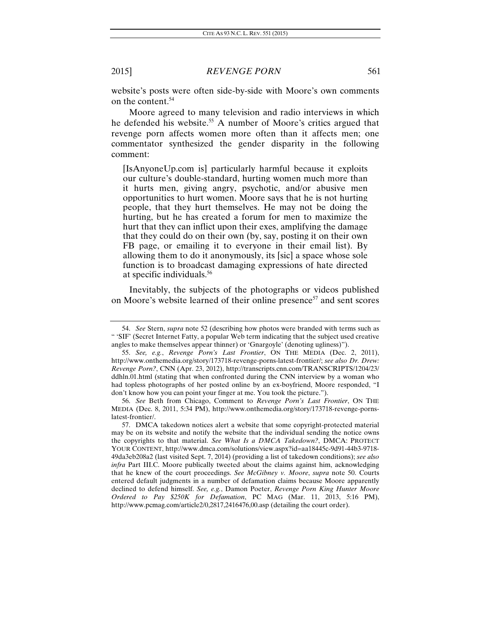website's posts were often side-by-side with Moore's own comments on the content.<sup>54</sup>

Moore agreed to many television and radio interviews in which he defended his website.<sup>55</sup> A number of Moore's critics argued that revenge porn affects women more often than it affects men; one commentator synthesized the gender disparity in the following comment:

[IsAnyoneUp.com is] particularly harmful because it exploits our culture's double-standard, hurting women much more than it hurts men, giving angry, psychotic, and/or abusive men opportunities to hurt women. Moore says that he is not hurting people, that they hurt themselves. He may not be doing the hurting, but he has created a forum for men to maximize the hurt that they can inflict upon their exes, amplifying the damage that they could do on their own (by, say, posting it on their own FB page, or emailing it to everyone in their email list). By allowing them to do it anonymously, its [sic] a space whose sole function is to broadcast damaging expressions of hate directed at specific individuals.56

Inevitably, the subjects of the photographs or videos published on Moore's website learned of their online presence<sup>57</sup> and sent scores

<sup>54.</sup> *See* Stern, *supra* note 52 (describing how photos were branded with terms such as " 'SIF' (Secret Internet Fatty, a popular Web term indicating that the subject used creative angles to make themselves appear thinner) or 'Gnargoyle' (denoting ugliness)").

<sup>55.</sup> *See, e.g.*, *Revenge Porn's Last Frontier*, ON THE MEDIA (Dec. 2, 2011), http://www.onthemedia.org/story/173718-revenge-porns-latest-frontier/; *see also Dr. Drew: Revenge Porn?*, CNN (Apr. 23, 2012), http://transcripts.cnn.com/TRANSCRIPTS/1204/23/ ddhln.01.html (stating that when confronted during the CNN interview by a woman who had topless photographs of her posted online by an ex-boyfriend, Moore responded, "I don't know how you can point your finger at me. You took the picture.").

<sup>56.</sup> *See* Beth from Chicago, Comment to *Revenge Porn's Last Frontier*, ON THE MEDIA (Dec. 8, 2011, 5:34 PM), http://www.onthemedia.org/story/173718-revenge-pornslatest-frontier/.

 <sup>57.</sup> DMCA takedown notices alert a website that some copyright-protected material may be on its website and notify the website that the individual sending the notice owns the copyrights to that material. *See What Is a DMCA Takedown?*, DMCA: PROTECT YOUR CONTENT, http://www.dmca.com/solutions/view.aspx?id=aa18445c-9d91-44b3-9718- 49da3eb208a2 (last visited Sept. 7, 2014) (providing a list of takedown conditions); *see also infra* Part III.C. Moore publically tweeted about the claims against him, acknowledging that he knew of the court proceedings. *See McGibney v. Moore*, *supra* note 50. Courts entered default judgments in a number of defamation claims because Moore apparently declined to defend himself. *See, e.g.*, Damon Poeter, *Revenge Porn King Hunter Moore Ordered to Pay \$250K for Defamation*, PC MAG (Mar. 11, 2013, 5:16 PM), http://www.pcmag.com/article2/0,2817,2416476,00.asp (detailing the court order).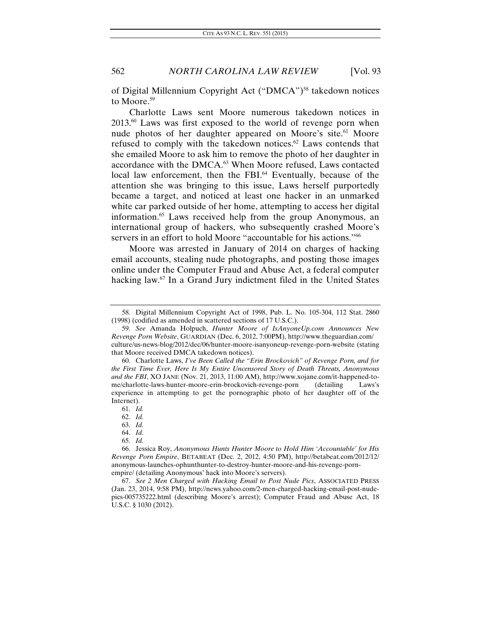of Digital Millennium Copyright Act ("DMCA")58 takedown notices to Moore.<sup>59</sup>

Charlotte Laws sent Moore numerous takedown notices in 2013.60 Laws was first exposed to the world of revenge porn when nude photos of her daughter appeared on Moore's site.<sup>61</sup> Moore refused to comply with the takedown notices.<sup>62</sup> Laws contends that she emailed Moore to ask him to remove the photo of her daughter in accordance with the DMCA.<sup>63</sup> When Moore refused, Laws contacted local law enforcement, then the FBI.<sup>64</sup> Eventually, because of the attention she was bringing to this issue, Laws herself purportedly became a target, and noticed at least one hacker in an unmarked white car parked outside of her home, attempting to access her digital information.65 Laws received help from the group Anonymous, an international group of hackers, who subsequently crashed Moore's servers in an effort to hold Moore "accountable for his actions."<sup>66</sup>

Moore was arrested in January of 2014 on charges of hacking email accounts, stealing nude photographs, and posting those images online under the Computer Fraud and Abuse Act, a federal computer hacking law.<sup>67</sup> In a Grand Jury indictment filed in the United States

 <sup>58.</sup> Digital Millennium Copyright Act of 1998, Pub. L. No. 105-304, 112 Stat. 2860 (1998) (codified as amended in scattered sections of 17 U.S.C.).

<sup>59.</sup> *See* Amanda Holpuch, *Hunter Moore of IsAnyoneUp.com Announces New Revenge Porn Website*, GUARDIAN (Dec. 6, 2012, 7:00PM), http://www.theguardian.com/ culture/us-news-blog/2012/dec/06/hunter-moore-isanyoneup-revenge-porn-website (stating that Moore received DMCA takedown notices).

 <sup>60.</sup> Charlotte Laws, *I've Been Called the "Erin Brockovich" of Revenge Porn, and for the First Time Ever, Here Is My Entire Uncensored Story of Death Threats, Anonymous and the FBI*, XO JANE (Nov. 21, 2013, 11:00 AM), http://www.xojane.com/it-happened-tome/charlotte-laws-hunter-moore-erin-brockovich-revenge-porn (detailing Laws's experience in attempting to get the pornographic photo of her daughter off of the Internet).

<sup>61.</sup> *Id.* 

<sup>62.</sup> *Id.* 

<sup>63.</sup> *Id.* 

<sup>64.</sup> *Id.*

<sup>65.</sup> *Id.*

 <sup>66.</sup> Jessica Roy, *Anonymous Hunts Hunter Moore to Hold Him 'Accountable' for His Revenge Porn Empire*, BETABEAT (Dec. 2, 2012, 4:50 PM), http://betabeat.com/2012/12/ anonymous-launches-ophunthunter-to-destroy-hunter-moore-and-his-revenge-pornempire/ (detailing Anonymous' hack into Moore's servers).

<sup>67.</sup> *See 2 Men Charged with Hacking Email to Post Nude Pics*, ASSOCIATED PRESS (Jan. 23, 2014, 9:58 PM), http://news.yahoo.com/2-men-charged-hacking-email-post-nudepics-005735222.html (describing Moore's arrest); Computer Fraud and Abuse Act, 18 U.S.C. § 1030 (2012).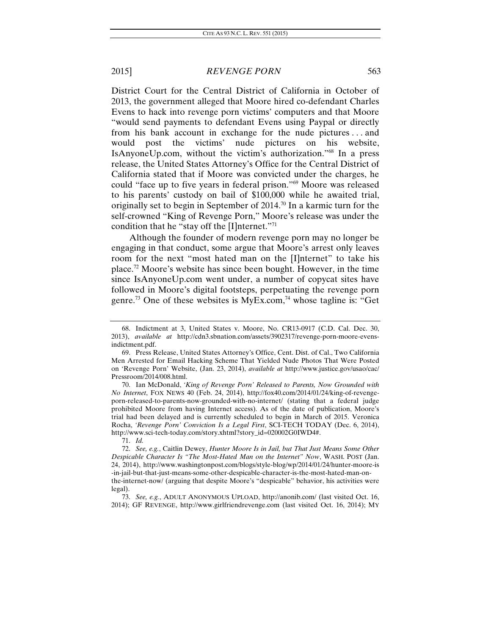District Court for the Central District of California in October of 2013, the government alleged that Moore hired co-defendant Charles Evens to hack into revenge porn victims' computers and that Moore "would send payments to defendant Evens using Paypal or directly from his bank account in exchange for the nude pictures . . . and would post the victims' nude pictures on his website, IsAnyoneUp.com, without the victim's authorization."68 In a press release, the United States Attorney's Office for the Central District of California stated that if Moore was convicted under the charges, he could "face up to five years in federal prison."69 Moore was released to his parents' custody on bail of \$100,000 while he awaited trial, originally set to begin in September of  $2014$ .<sup>70</sup> In a karmic turn for the self-crowned "King of Revenge Porn," Moore's release was under the condition that he "stay off the [I]nternet."71

Although the founder of modern revenge porn may no longer be engaging in that conduct, some argue that Moore's arrest only leaves room for the next "most hated man on the [I]nternet" to take his place.72 Moore's website has since been bought. However, in the time since IsAnyoneUp.com went under, a number of copycat sites have followed in Moore's digital footsteps, perpetuating the revenge porn genre.<sup>73</sup> One of these websites is  $MyEx.com<sub>1</sub><sup>74</sup>$  whose tagline is: "Get

 <sup>68.</sup> Indictment at 3, United States v. Moore, No. CR13-0917 (C.D. Cal. Dec. 30, 2013), *available at* http://cdn3.sbnation.com/assets/3902317/revenge-porn-moore-evensindictment.pdf.

 <sup>69.</sup> Press Release, United States Attorney's Office, Cent. Dist. of Cal., Two California Men Arrested for Email Hacking Scheme That Yielded Nude Photos That Were Posted on 'Revenge Porn' Website, (Jan. 23, 2014), *available at* http://www.justice.gov/usao/cac/ Pressroom/2014/008.html.

 <sup>70.</sup> Ian McDonald, *'King of Revenge Porn' Released to Parents, Now Grounded with No Internet*, FOX NEWS 40 (Feb. 24, 2014), http://fox40.com/2014/01/24/king-of-revengeporn-released-to-parents-now-grounded-with-no-internet/ (stating that a federal judge prohibited Moore from having Internet access). As of the date of publication, Moore's trial had been delayed and is currently scheduled to begin in March of 2015. Veronica Rocha, *'Revenge Porn' Conviction Is a Legal First*, SCI-TECH TODAY (Dec. 6, 2014), http://www.sci-tech-today.com/story.xhtml?story\_id=020002G0IWD4#.

<sup>71.</sup> *Id.*

<sup>72.</sup> *See, e.g.*, Caitlin Dewey, *Hunter Moore Is in Jail, but That Just Means Some Other Despicable Character Is "The Most-Hated Man on the Internet" Now*, WASH. POST (Jan. 24, 2014), http://www.washingtonpost.com/blogs/style-blog/wp/2014/01/24/hunter-moore-is -in-jail-but-that-just-means-some-other-despicable-character-is-the-most-hated-man-onthe-internet-now/ (arguing that despite Moore's "despicable" behavior, his activities were legal).

 <sup>73.</sup> *See, e.g.*, ADULT ANONYMOUS UPLOAD, http://anonib.com/ (last visited Oct. 16, 2014); GF REVENGE, http://www.girlfriendrevenge.com (last visited Oct. 16, 2014); MY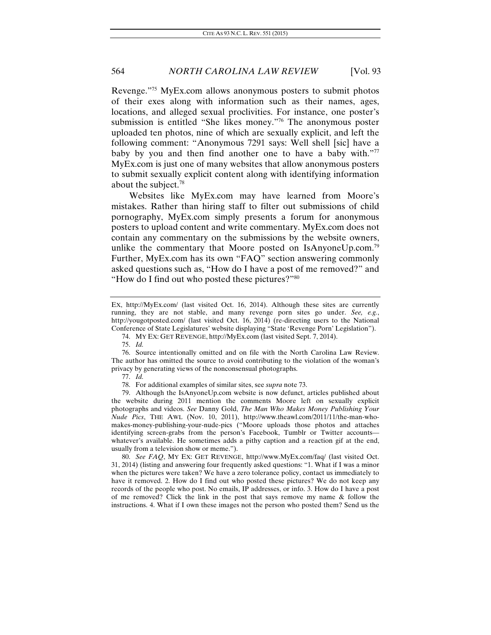Revenge."75 MyEx.com allows anonymous posters to submit photos of their exes along with information such as their names, ages, locations, and alleged sexual proclivities. For instance, one poster's submission is entitled "She likes money."76 The anonymous poster uploaded ten photos, nine of which are sexually explicit, and left the following comment: "Anonymous 7291 says: Well shell [sic] have a baby by you and then find another one to have a baby with."77 MyEx.com is just one of many websites that allow anonymous posters to submit sexually explicit content along with identifying information about the subject.78

Websites like MyEx.com may have learned from Moore's mistakes. Rather than hiring staff to filter out submissions of child pornography, MyEx.com simply presents a forum for anonymous posters to upload content and write commentary. MyEx.com does not contain any commentary on the submissions by the website owners, unlike the commentary that Moore posted on IsAnyoneUp.com.<sup>79</sup> Further, MyEx.com has its own "FAQ" section answering commonly asked questions such as, "How do I have a post of me removed?" and "How do I find out who posted these pictures?"80

80. *See FAQ*, MY EX: GET REVENGE, http://www.MyEx.com/faq/ (last visited Oct. 31, 2014) (listing and answering four frequently asked questions: "1. What if I was a minor when the pictures were taken? We have a zero tolerance policy, contact us immediately to have it removed. 2. How do I find out who posted these pictures? We do not keep any records of the people who post. No emails, IP addresses, or info. 3. How do I have a post of me removed? Click the link in the post that says remove my name & follow the instructions. 4. What if I own these images not the person who posted them? Send us the

EX, http://MyEx.com/ (last visited Oct. 16, 2014). Although these sites are currently running, they are not stable, and many revenge porn sites go under. *See, e.g.*, http://yougotposted.com/ (last visited Oct. 16, 2014) (re-directing users to the National Conference of State Legislatures' website displaying "State 'Revenge Porn' Legislation").

 <sup>74.</sup> MY EX: GET REVENGE, http://MyEx.com (last visited Sept. 7, 2014).

<sup>75.</sup> *Id.* 

<sup>76.</sup> Source intentionally omitted and on file with the North Carolina Law Review. The author has omitted the source to avoid contributing to the violation of the woman's privacy by generating views of the nonconsensual photographs.

 <sup>77.</sup> *Id.*

<sup>78.</sup> For additional examples of similar sites, see *supra* note 73.

 <sup>79.</sup> Although the IsAnyoneUp.com website is now defunct, articles published about the website during 2011 mention the comments Moore left on sexually explicit photographs and videos. *See* Danny Gold, *The Man Who Makes Money Publishing Your Nude Pics*, THE AWL (Nov. 10, 2011), http://www.theawl.com/2011/11/the-man-whomakes-money-publishing-your-nude-pics ("Moore uploads those photos and attaches identifying screen-grabs from the person's Facebook, Tumblr or Twitter accounts whatever's available. He sometimes adds a pithy caption and a reaction gif at the end, usually from a television show or meme.").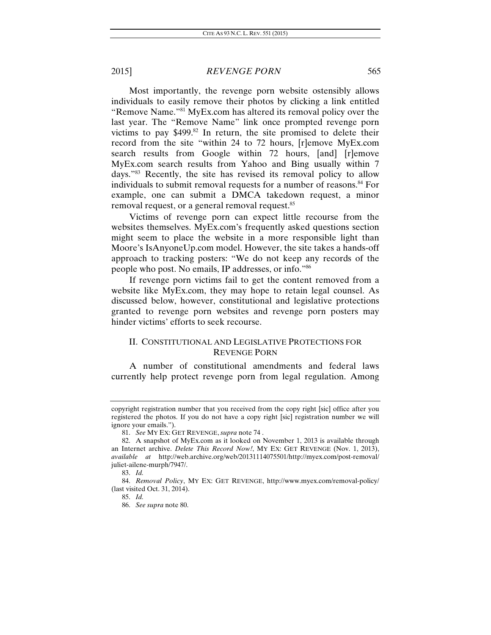Most importantly, the revenge porn website ostensibly allows individuals to easily remove their photos by clicking a link entitled "Remove Name."81 MyEx.com has altered its removal policy over the last year. The "Remove Name" link once prompted revenge porn victims to pay  $$499$ .<sup>82</sup> In return, the site promised to delete their record from the site "within 24 to 72 hours, [r]emove MyEx.com search results from Google within 72 hours, [and] [r]emove MyEx.com search results from Yahoo and Bing usually within 7 days."83 Recently, the site has revised its removal policy to allow individuals to submit removal requests for a number of reasons.<sup>84</sup> For example, one can submit a DMCA takedown request, a minor removal request, or a general removal request.<sup>85</sup>

Victims of revenge porn can expect little recourse from the websites themselves. MyEx.com's frequently asked questions section might seem to place the website in a more responsible light than Moore's IsAnyoneUp.com model. However, the site takes a hands-off approach to tracking posters: "We do not keep any records of the people who post. No emails, IP addresses, or info."86

If revenge porn victims fail to get the content removed from a website like MyEx.com, they may hope to retain legal counsel. As discussed below, however, constitutional and legislative protections granted to revenge porn websites and revenge porn posters may hinder victims' efforts to seek recourse.

# II. CONSTITUTIONAL AND LEGISLATIVE PROTECTIONS FOR REVENGE PORN

A number of constitutional amendments and federal laws currently help protect revenge porn from legal regulation. Among

copyright registration number that you received from the copy right [sic] office after you registered the photos. If you do not have a copy right [sic] registration number we will ignore your emails.").

<sup>81.</sup> *See* MY EX: GET REVENGE, *supra* note 74 .

 <sup>82.</sup> A snapshot of MyEx.com as it looked on November 1, 2013 is available through an Internet archive. *Delete This Record Now!*, MY EX: GET REVENGE (Nov. 1, 2013), *available at* http://web.archive.org/web/20131114075501/http://myex.com/post-removal/ juliet-ailene-murph/7947/.

<sup>83.</sup> *Id.*

<sup>84.</sup> *Removal Policy*, MY EX: GET REVENGE, http://www.myex.com/removal-policy/ (last visited Oct. 31, 2014).

<sup>85.</sup> *Id.* 

<sup>86.</sup> *See supra* note 80.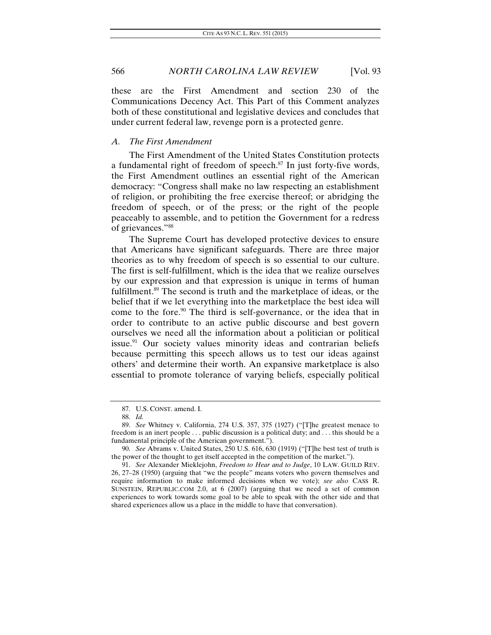these are the First Amendment and section 230 of the Communications Decency Act. This Part of this Comment analyzes both of these constitutional and legislative devices and concludes that under current federal law, revenge porn is a protected genre.

## *A. The First Amendment*

The First Amendment of the United States Constitution protects a fundamental right of freedom of speech. $87$  In just forty-five words, the First Amendment outlines an essential right of the American democracy: "Congress shall make no law respecting an establishment of religion, or prohibiting the free exercise thereof; or abridging the freedom of speech, or of the press; or the right of the people peaceably to assemble, and to petition the Government for a redress of grievances."88

The Supreme Court has developed protective devices to ensure that Americans have significant safeguards. There are three major theories as to why freedom of speech is so essential to our culture. The first is self-fulfillment, which is the idea that we realize ourselves by our expression and that expression is unique in terms of human fulfillment.<sup>89</sup> The second is truth and the marketplace of ideas, or the belief that if we let everything into the marketplace the best idea will come to the fore.<sup>90</sup> The third is self-governance, or the idea that in order to contribute to an active public discourse and best govern ourselves we need all the information about a politician or political issue.<sup>91</sup> Our society values minority ideas and contrarian beliefs because permitting this speech allows us to test our ideas against others' and determine their worth. An expansive marketplace is also essential to promote tolerance of varying beliefs, especially political

<sup>87.</sup> U.S. CONST. amend. I.

 <sup>88.</sup> *Id.*

<sup>89.</sup> *See* Whitney v. California, 274 U.S. 357, 375 (1927) ("[T]he greatest menace to freedom is an inert people . . . public discussion is a political duty; and . . . this should be a fundamental principle of the American government.").

<sup>90.</sup> *See* Abrams v. United States, 250 U.S. 616, 630 (1919) ("[T]he best test of truth is the power of the thought to get itself accepted in the competition of the market.").

<sup>91.</sup> *See* Alexander Mieklejohn, *Freedom to Hear and to Judge*, 10 LAW. GUILD REV. 26, 27–28 (1950) (arguing that "we the people" means voters who govern themselves and require information to make informed decisions when we vote); *see also* CASS R. SUNSTEIN, REPUBLIC.COM 2.0, at 6 (2007) (arguing that we need a set of common experiences to work towards some goal to be able to speak with the other side and that shared experiences allow us a place in the middle to have that conversation).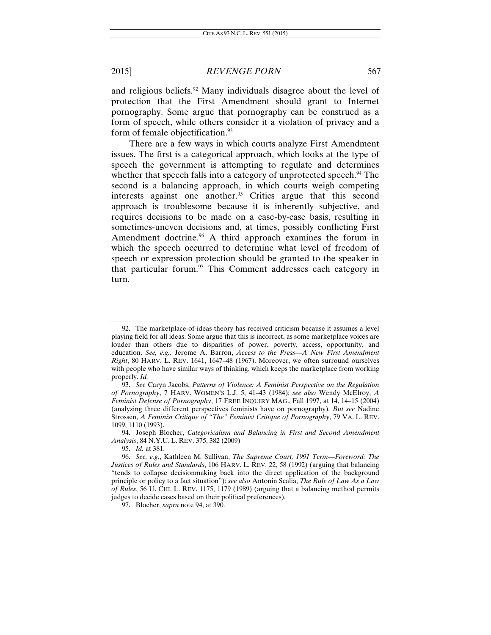and religious beliefs.<sup>92</sup> Many individuals disagree about the level of protection that the First Amendment should grant to Internet pornography. Some argue that pornography can be construed as a form of speech, while others consider it a violation of privacy and a form of female objectification.<sup>93</sup>

There are a few ways in which courts analyze First Amendment issues. The first is a categorical approach, which looks at the type of speech the government is attempting to regulate and determines whether that speech falls into a category of unprotected speech.<sup>94</sup> The second is a balancing approach, in which courts weigh competing interests against one another.<sup>95</sup> Critics argue that this second approach is troublesome because it is inherently subjective, and requires decisions to be made on a case-by-case basis, resulting in sometimes-uneven decisions and, at times, possibly conflicting First Amendment doctrine.<sup>96</sup> A third approach examines the forum in which the speech occurred to determine what level of freedom of speech or expression protection should be granted to the speaker in that particular forum. $97$  This Comment addresses each category in turn.

 <sup>92.</sup> The marketplace-of-ideas theory has received criticism because it assumes a level playing field for all ideas. Some argue that this is incorrect, as some marketplace voices are louder than others due to disparities of power, poverty, access, opportunity, and education. *See, e.g.*, Jerome A. Barron, *Access to the Press—A New First Amendment Right*, 80 HARV. L. REV. 1641, 1647–48 (1967). Moreover, we often surround ourselves with people who have similar ways of thinking, which keeps the marketplace from working properly. *Id.*

<sup>93.</sup> *See* Caryn Jacobs, *Patterns of Violence: A Feminist Perspective on the Regulation of Pornography*, 7 HARV. WOMEN'S L.J. 5, 41–43 (1984); *see also* Wendy McElroy, *A Feminist Defense of Pornography*, 17 FREE INQUIRY MAG., Fall 1997, at 14, 14–15 (2004) (analyzing three different perspectives feminists have on pornography). *But see* Nadine Strossen, *A Feminist Critique of "The" Feminist Critique of Pornography*, 79 VA. L. REV. 1099, 1110 (1993).

<sup>94.</sup> Joseph Blocher, *Categoricalism and Balancing in First and Second Amendment Analysis*, 84 N.Y.U. L. REV. 375, 382 (2009)

<sup>95.</sup> *Id.* at 381.

<sup>96.</sup> *See, e.g.*, Kathleen M. Sullivan, *The Supreme Court, 1991 Term—Foreword: The Justices of Rules and Standards*, 106 HARV. L. REV. 22, 58 (1992) (arguing that balancing "tends to collapse decisionmaking back into the direct application of the background principle or policy to a fact situation"); *see also* Antonin Scalia, *The Rule of Law As a Law of Rules*, 56 U. CHI. L. REV. 1175, 1179 (1989) (arguing that a balancing method permits judges to decide cases based on their political preferences).

 <sup>97.</sup> Blocher, *supra* note 94, at 390.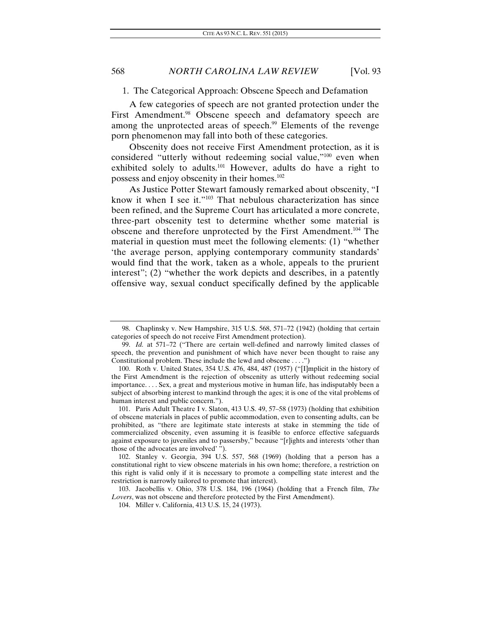1. The Categorical Approach: Obscene Speech and Defamation

A few categories of speech are not granted protection under the First Amendment.<sup>98</sup> Obscene speech and defamatory speech are among the unprotected areas of speech.<sup>99</sup> Elements of the revenge porn phenomenon may fall into both of these categories.

Obscenity does not receive First Amendment protection, as it is considered "utterly without redeeming social value,"100 even when exhibited solely to adults.101 However, adults do have a right to possess and enjoy obscenity in their homes.102

As Justice Potter Stewart famously remarked about obscenity, "I know it when I see it."103 That nebulous characterization has since been refined, and the Supreme Court has articulated a more concrete, three-part obscenity test to determine whether some material is obscene and therefore unprotected by the First Amendment.104 The material in question must meet the following elements: (1) "whether 'the average person, applying contemporary community standards' would find that the work, taken as a whole, appeals to the prurient interest"; (2) "whether the work depicts and describes, in a patently offensive way, sexual conduct specifically defined by the applicable

 <sup>98.</sup> Chaplinsky v. New Hampshire, 315 U.S. 568, 571–72 (1942) (holding that certain categories of speech do not receive First Amendment protection).

<sup>99.</sup> *Id.* at 571–72 ("There are certain well-defined and narrowly limited classes of speech, the prevention and punishment of which have never been thought to raise any Constitutional problem. These include the lewd and obscene . . . .")

<sup>100.</sup> Roth v. United States, 354 U.S. 476, 484, 487 (1957) ("[I]mplicit in the history of the First Amendment is the rejection of obscenity as utterly without redeeming social importance. . . . Sex, a great and mysterious motive in human life, has indisputably been a subject of absorbing interest to mankind through the ages; it is one of the vital problems of human interest and public concern.").

<sup>101.</sup> Paris Adult Theatre I v. Slaton, 413 U.S. 49, 57–58 (1973) (holding that exhibition of obscene materials in places of public accommodation, even to consenting adults, can be prohibited, as "there are legitimate state interests at stake in stemming the tide of commercialized obscenity, even assuming it is feasible to enforce effective safeguards against exposure to juveniles and to passersby," because "[r]ights and interests 'other than those of the advocates are involved' ").

 <sup>102.</sup> Stanley v. Georgia, 394 U.S. 557, 568 (1969) (holding that a person has a constitutional right to view obscene materials in his own home; therefore, a restriction on this right is valid only if it is necessary to promote a compelling state interest and the restriction is narrowly tailored to promote that interest).

<sup>103.</sup> Jacobellis v. Ohio, 378 U.S. 184, 196 (1964) (holding that a French film, *The Lovers*, was not obscene and therefore protected by the First Amendment).

 <sup>104.</sup> Miller v. California, 413 U.S. 15, 24 (1973).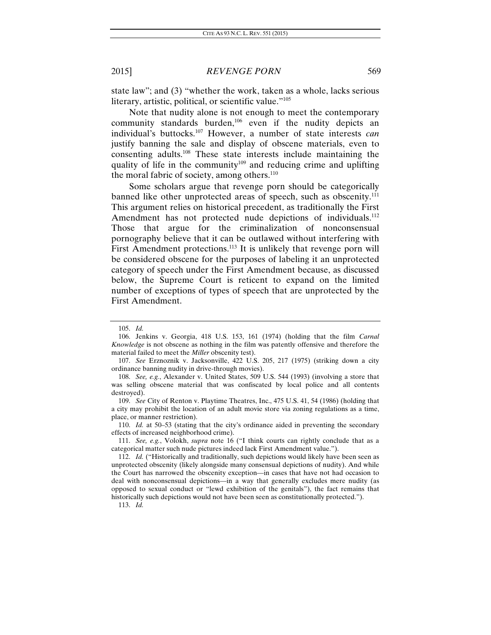state law"; and (3) "whether the work, taken as a whole, lacks serious literary, artistic, political, or scientific value."105

Note that nudity alone is not enough to meet the contemporary community standards burden,<sup>106</sup> even if the nudity depicts an individual's buttocks.107 However, a number of state interests *can* justify banning the sale and display of obscene materials, even to consenting adults.108 These state interests include maintaining the quality of life in the community<sup>109</sup> and reducing crime and uplifting the moral fabric of society, among others. $110$ 

Some scholars argue that revenge porn should be categorically banned like other unprotected areas of speech, such as obscenity.<sup>111</sup> This argument relies on historical precedent, as traditionally the First Amendment has not protected nude depictions of individuals.<sup>112</sup> Those that argue for the criminalization of nonconsensual pornography believe that it can be outlawed without interfering with First Amendment protections.<sup>113</sup> It is unlikely that revenge porn will be considered obscene for the purposes of labeling it an unprotected category of speech under the First Amendment because, as discussed below, the Supreme Court is reticent to expand on the limited number of exceptions of types of speech that are unprotected by the First Amendment.

113. *Id.*

<sup>105.</sup> *Id.*

 <sup>106.</sup> Jenkins v. Georgia, 418 U.S. 153, 161 (1974) (holding that the film *Carnal Knowledge* is not obscene as nothing in the film was patently offensive and therefore the material failed to meet the *Miller* obscenity test).

<sup>107.</sup> *See* Erznoznik v. Jacksonville, 422 U.S. 205, 217 (1975) (striking down a city ordinance banning nudity in drive-through movies).

<sup>108.</sup> *See, e.g.*, Alexander v. United States, 509 U.S. 544 (1993) (involving a store that was selling obscene material that was confiscated by local police and all contents destroyed).

<sup>109.</sup> *See* City of Renton v. Playtime Theatres, Inc., 475 U.S. 41, 54 (1986) (holding that a city may prohibit the location of an adult movie store via zoning regulations as a time, place, or manner restriction).

<sup>110.</sup> *Id.* at 50–53 (stating that the city's ordinance aided in preventing the secondary effects of increased neighborhood crime).

 <sup>111.</sup> *See, e.g.*, Volokh, *supra* note 16 ("I think courts can rightly conclude that as a categorical matter such nude pictures indeed lack First Amendment value.").

<sup>112.</sup> *Id.* ("Historically and traditionally, such depictions would likely have been seen as unprotected obscenity (likely alongside many consensual depictions of nudity). And while the Court has narrowed the obscenity exception—in cases that have not had occasion to deal with nonconsensual depictions—in a way that generally excludes mere nudity (as opposed to sexual conduct or "lewd exhibition of the genitals"), the fact remains that historically such depictions would not have been seen as constitutionally protected.").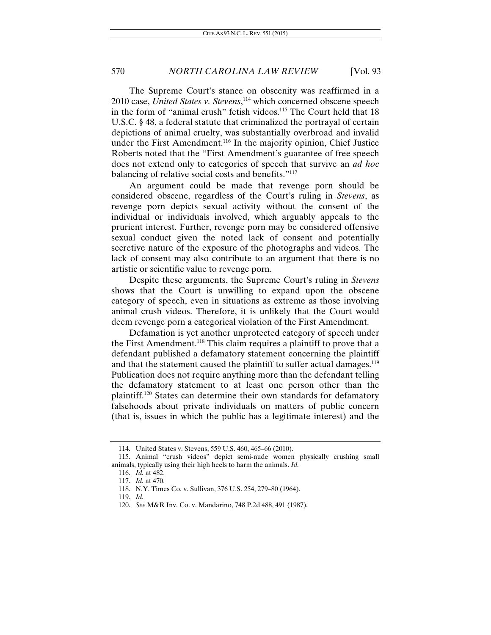The Supreme Court's stance on obscenity was reaffirmed in a 2010 case, *United States v. Stevens*, 114 which concerned obscene speech in the form of "animal crush" fetish videos.<sup>115</sup> The Court held that  $18$ U.S.C. § 48, a federal statute that criminalized the portrayal of certain depictions of animal cruelty, was substantially overbroad and invalid under the First Amendment.<sup>116</sup> In the majority opinion, Chief Justice Roberts noted that the "First Amendment's guarantee of free speech does not extend only to categories of speech that survive an *ad hoc* balancing of relative social costs and benefits."117

An argument could be made that revenge porn should be considered obscene, regardless of the Court's ruling in *Stevens*, as revenge porn depicts sexual activity without the consent of the individual or individuals involved, which arguably appeals to the prurient interest. Further, revenge porn may be considered offensive sexual conduct given the noted lack of consent and potentially secretive nature of the exposure of the photographs and videos. The lack of consent may also contribute to an argument that there is no artistic or scientific value to revenge porn.

Despite these arguments, the Supreme Court's ruling in *Stevens* shows that the Court is unwilling to expand upon the obscene category of speech, even in situations as extreme as those involving animal crush videos. Therefore, it is unlikely that the Court would deem revenge porn a categorical violation of the First Amendment.

Defamation is yet another unprotected category of speech under the First Amendment.118 This claim requires a plaintiff to prove that a defendant published a defamatory statement concerning the plaintiff and that the statement caused the plaintiff to suffer actual damages.<sup>119</sup> Publication does not require anything more than the defendant telling the defamatory statement to at least one person other than the plaintiff.120 States can determine their own standards for defamatory falsehoods about private individuals on matters of public concern (that is, issues in which the public has a legitimate interest) and the

 <sup>114.</sup> United States v. Stevens, 559 U.S. 460, 465–66 (2010).

 <sup>115.</sup> Animal "crush videos" depict semi-nude women physically crushing small animals, typically using their high heels to harm the animals. *Id.*

<sup>116.</sup> *Id.* at 482.

<sup>117.</sup> *Id.* at 470.

 <sup>118.</sup> N.Y. Times Co. v. Sullivan, 376 U.S. 254, 279–80 (1964).

<sup>119.</sup> *Id.*

<sup>120.</sup> *See* M&R Inv. Co. v. Mandarino, 748 P.2d 488, 491 (1987).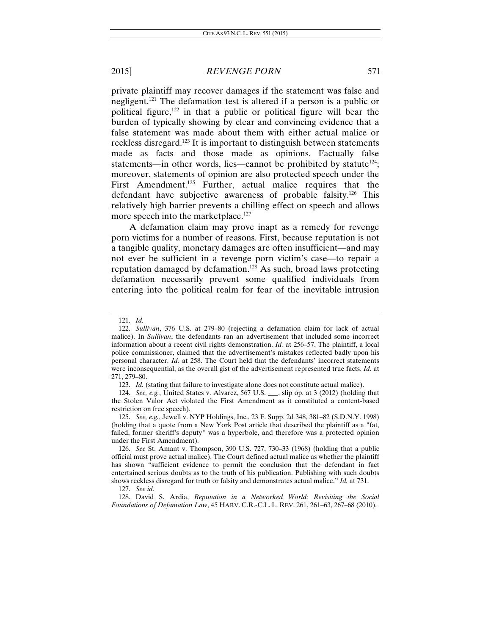private plaintiff may recover damages if the statement was false and negligent.121 The defamation test is altered if a person is a public or political figure,<sup>122</sup> in that a public or political figure will bear the burden of typically showing by clear and convincing evidence that a false statement was made about them with either actual malice or reckless disregard.123 It is important to distinguish between statements made as facts and those made as opinions. Factually false statements—in other words, lies—cannot be prohibited by statute<sup>124</sup>; moreover, statements of opinion are also protected speech under the First Amendment.<sup>125</sup> Further, actual malice requires that the defendant have subjective awareness of probable falsity.126 This relatively high barrier prevents a chilling effect on speech and allows more speech into the marketplace.<sup>127</sup>

A defamation claim may prove inapt as a remedy for revenge porn victims for a number of reasons. First, because reputation is not a tangible quality, monetary damages are often insufficient—and may not ever be sufficient in a revenge porn victim's case—to repair a reputation damaged by defamation.128 As such, broad laws protecting defamation necessarily prevent some qualified individuals from entering into the political realm for fear of the inevitable intrusion

<sup>121.</sup> *Id.* 

 <sup>122.</sup> *Sullivan*, 376 U.S. at 279–80 (rejecting a defamation claim for lack of actual malice). In *Sullivan*, the defendants ran an advertisement that included some incorrect information about a recent civil rights demonstration. *Id.* at 256–57. The plaintiff, a local police commissioner, claimed that the advertisement's mistakes reflected badly upon his personal character. *Id.* at 258. The Court held that the defendants' incorrect statements were inconsequential, as the overall gist of the advertisement represented true facts. *Id.* at 271, 279–80.

<sup>123.</sup> *Id.* (stating that failure to investigate alone does not constitute actual malice).

<sup>124.</sup> *See, e.g.*, United States v. Alvarez, 567 U.S. \_\_\_, slip op. at 3 (2012) (holding that the Stolen Valor Act violated the First Amendment as it constituted a content-based restriction on free speech).

<sup>125.</sup> *See, e.g.*, Jewell v. NYP Holdings, Inc., 23 F. Supp. 2d 348, 381–82 (S.D.N.Y. 1998) (holding that a quote from a New York Post article that described the plaintiff as a "fat, failed, former sheriff's deputy" was a hyperbole, and therefore was a protected opinion under the First Amendment).

<sup>126.</sup> *See* St. Amant v. Thompson, 390 U.S. 727, 730–33 (1968) (holding that a public official must prove actual malice). The Court defined actual malice as whether the plaintiff has shown "sufficient evidence to permit the conclusion that the defendant in fact entertained serious doubts as to the truth of his publication. Publishing with such doubts shows reckless disregard for truth or falsity and demonstrates actual malice." *Id.* at 731.

<sup>127.</sup> *See id.* 

 <sup>128.</sup> David S. Ardia, *Reputation in a Networked World: Revisiting the Social Foundations of Defamation Law*, 45 HARV. C.R.-C.L. L. REV. 261, 261–63, 267–68 (2010).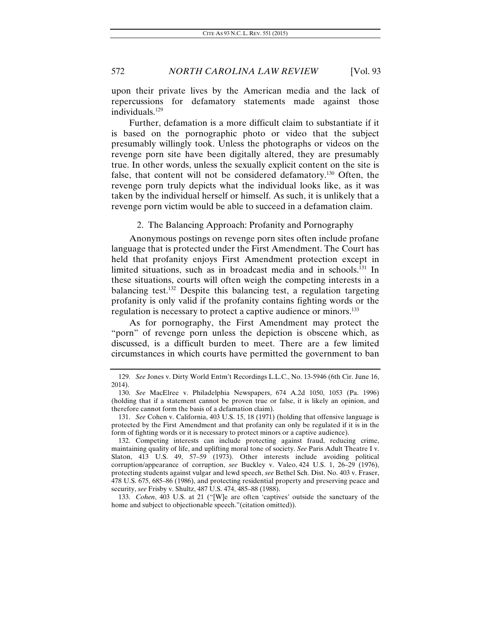upon their private lives by the American media and the lack of repercussions for defamatory statements made against those individuals.<sup>129</sup>

Further, defamation is a more difficult claim to substantiate if it is based on the pornographic photo or video that the subject presumably willingly took. Unless the photographs or videos on the revenge porn site have been digitally altered, they are presumably true. In other words, unless the sexually explicit content on the site is false, that content will not be considered defamatory.130 Often, the revenge porn truly depicts what the individual looks like, as it was taken by the individual herself or himself. As such, it is unlikely that a revenge porn victim would be able to succeed in a defamation claim.

2. The Balancing Approach: Profanity and Pornography

Anonymous postings on revenge porn sites often include profane language that is protected under the First Amendment. The Court has held that profanity enjoys First Amendment protection except in limited situations, such as in broadcast media and in schools.<sup>131</sup> In these situations, courts will often weigh the competing interests in a balancing test.132 Despite this balancing test, a regulation targeting profanity is only valid if the profanity contains fighting words or the regulation is necessary to protect a captive audience or minors.<sup>133</sup>

As for pornography, the First Amendment may protect the "porn" of revenge porn unless the depiction is obscene which, as discussed, is a difficult burden to meet. There are a few limited circumstances in which courts have permitted the government to ban

133. *Cohen*, 403 U.S. at 21 ("[W]e are often 'captives' outside the sanctuary of the home and subject to objectionable speech."(citation omitted)).

<sup>129.</sup> *See* Jones v. Dirty World Entm't Recordings L.L.C., No. 13-5946 (6th Cir. June 16, 2014).

<sup>130.</sup> *See* MacElree v. Philadelphia Newspapers, 674 A.2d 1050, 1053 (Pa. 1996) (holding that if a statement cannot be proven true or false, it is likely an opinion, and therefore cannot form the basis of a defamation claim).

<sup>131.</sup> *See* Cohen v. California, 403 U.S. 15, 18 (1971) (holding that offensive language is protected by the First Amendment and that profanity can only be regulated if it is in the form of fighting words or it is necessary to protect minors or a captive audience).

 <sup>132.</sup> Competing interests can include protecting against fraud, reducing crime, maintaining quality of life, and uplifting moral tone of society. *See* Paris Adult Theatre I v. Slaton, 413 U.S. 49, 57–59 (1973). Other interests include avoiding political corruption/appearance of corruption, *see* Buckley v. Valeo, 424 U.S. 1, 26–29 (1976), protecting students against vulgar and lewd speech, *see* Bethel Sch. Dist. No. 403 v. Fraser, 478 U.S. 675, 685–86 (1986), and protecting residential property and preserving peace and security, *see* Frisby v. Shultz, 487 U.S. 474, 485–88 (1988).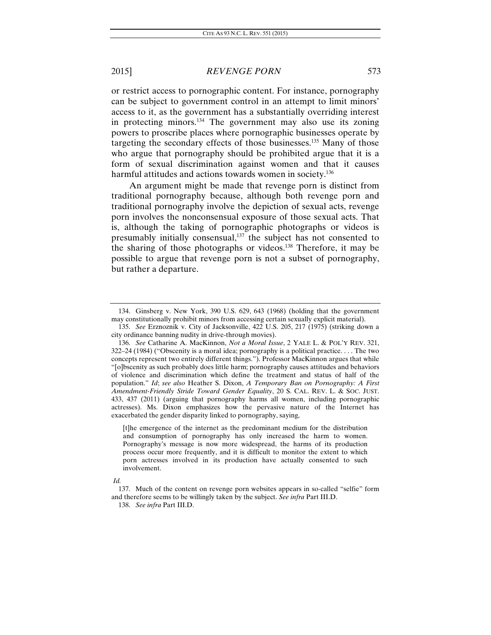or restrict access to pornographic content. For instance, pornography can be subject to government control in an attempt to limit minors' access to it, as the government has a substantially overriding interest in protecting minors.134 The government may also use its zoning powers to proscribe places where pornographic businesses operate by targeting the secondary effects of those businesses.135 Many of those who argue that pornography should be prohibited argue that it is a form of sexual discrimination against women and that it causes harmful attitudes and actions towards women in society.<sup>136</sup>

An argument might be made that revenge porn is distinct from traditional pornography because, although both revenge porn and traditional pornography involve the depiction of sexual acts, revenge porn involves the nonconsensual exposure of those sexual acts. That is, although the taking of pornographic photographs or videos is presumably initially consensual,<sup>137</sup> the subject has not consented to the sharing of those photographs or videos.<sup>138</sup> Therefore, it may be possible to argue that revenge porn is not a subset of pornography, but rather a departure.

 <sup>134.</sup> Ginsberg v. New York, 390 U.S. 629, 643 (1968) (holding that the government may constitutionally prohibit minors from accessing certain sexually explicit material).

<sup>135.</sup> *See* Erznoznik v. City of Jacksonville, 422 U.S. 205, 217 (1975) (striking down a city ordinance banning nudity in drive-through movies).

<sup>136.</sup> *See* Catharine A. MacKinnon, *Not a Moral Issue*, 2 YALE L. & POL'Y REV. 321, 322–24 (1984) ("Obscenity is a moral idea; pornography is a political practice. . . . The two concepts represent two entirely different things."). Professor MacKinnon argues that while "[o]bscenity as such probably does little harm; pornography causes attitudes and behaviors of violence and discrimination which define the treatment and status of half of the population." *Id*; *see also* Heather S. Dixon, *A Temporary Ban on Pornography: A First Amendment-Friendly Stride Toward Gender Equality*, 20 S. CAL. REV. L. & SOC. JUST. 433, 437 (2011) (arguing that pornography harms all women, including pornographic actresses). Ms. Dixon emphasizes how the pervasive nature of the Internet has exacerbated the gender disparity linked to pornography, saying,

<sup>[</sup>t]he emergence of the internet as the predominant medium for the distribution and consumption of pornography has only increased the harm to women. Pornography's message is now more widespread, the harms of its production process occur more frequently, and it is difficult to monitor the extent to which porn actresses involved in its production have actually consented to such involvement.

*Id.* 

<sup>137.</sup> Much of the content on revenge porn websites appears in so-called "selfie" form and therefore seems to be willingly taken by the subject. *See infra* Part III.D.

<sup>138.</sup> *See infra* Part III.D.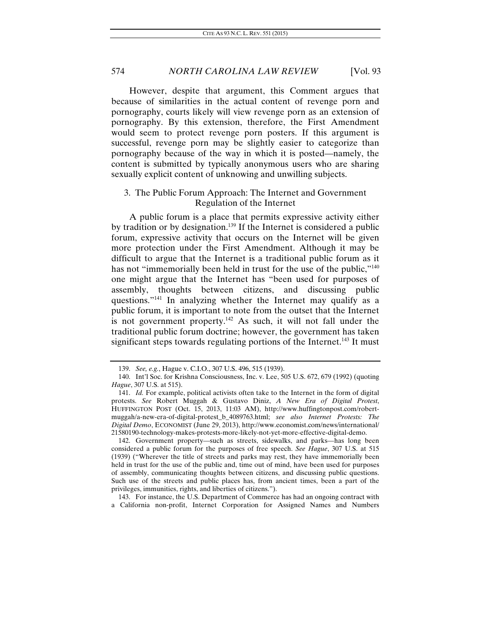However, despite that argument, this Comment argues that because of similarities in the actual content of revenge porn and pornography, courts likely will view revenge porn as an extension of pornography. By this extension, therefore, the First Amendment would seem to protect revenge porn posters. If this argument is successful, revenge porn may be slightly easier to categorize than pornography because of the way in which it is posted—namely, the content is submitted by typically anonymous users who are sharing sexually explicit content of unknowing and unwilling subjects.

## 3. The Public Forum Approach: The Internet and Government Regulation of the Internet

A public forum is a place that permits expressive activity either by tradition or by designation.<sup>139</sup> If the Internet is considered a public forum, expressive activity that occurs on the Internet will be given more protection under the First Amendment. Although it may be difficult to argue that the Internet is a traditional public forum as it has not "immemorially been held in trust for the use of the public,"<sup>140</sup> one might argue that the Internet has "been used for purposes of assembly, thoughts between citizens, and discussing public questions."141 In analyzing whether the Internet may qualify as a public forum, it is important to note from the outset that the Internet is not government property.<sup>142</sup> As such, it will not fall under the traditional public forum doctrine; however, the government has taken significant steps towards regulating portions of the Internet.<sup>143</sup> It must

 143. For instance, the U.S. Department of Commerce has had an ongoing contract with a California non-profit, Internet Corporation for Assigned Names and Numbers

<sup>139.</sup> *See, e.g.*, Hague v. C.I.O., 307 U.S. 496, 515 (1939).

 <sup>140.</sup> Int'l Soc. for Krishna Consciousness, Inc. v. Lee, 505 U.S. 672, 679 (1992) (quoting *Hague*, 307 U.S. at 515).

<sup>141.</sup> *Id.* For example, political activists often take to the Internet in the form of digital protests. *See* Robert Muggah & Gustavo Diniz, *A New Era of Digital Protest*, HUFFINGTON POST (Oct. 15, 2013, 11:03 AM), http://www.huffingtonpost.com/robertmuggah/a-new-era-of-digital-protest\_b\_4089763.html; *see also Internet Protests: The Digital Demo*, ECONOMIST (June 29, 2013), http://www.economist.com/news/international/ 21580190-technology-makes-protests-more-likely-not-yet-more-effective-digital-demo.

 <sup>142.</sup> Government property—such as streets, sidewalks, and parks—has long been considered a public forum for the purposes of free speech. *See Hague*, 307 U.S. at 515 (1939) ("Wherever the title of streets and parks may rest, they have immemorially been held in trust for the use of the public and, time out of mind, have been used for purposes of assembly, communicating thoughts between citizens, and discussing public questions. Such use of the streets and public places has, from ancient times, been a part of the privileges, immunities, rights, and liberties of citizens.").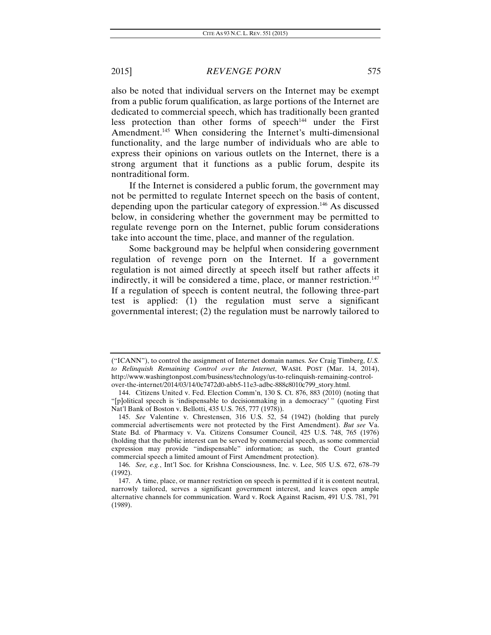also be noted that individual servers on the Internet may be exempt from a public forum qualification, as large portions of the Internet are dedicated to commercial speech, which has traditionally been granted less protection than other forms of speech<sup>144</sup> under the First Amendment.<sup>145</sup> When considering the Internet's multi-dimensional functionality, and the large number of individuals who are able to express their opinions on various outlets on the Internet, there is a strong argument that it functions as a public forum, despite its nontraditional form.

If the Internet is considered a public forum, the government may not be permitted to regulate Internet speech on the basis of content, depending upon the particular category of expression.146 As discussed below, in considering whether the government may be permitted to regulate revenge porn on the Internet, public forum considerations take into account the time, place, and manner of the regulation.

Some background may be helpful when considering government regulation of revenge porn on the Internet. If a government regulation is not aimed directly at speech itself but rather affects it indirectly, it will be considered a time, place, or manner restriction.<sup>147</sup> If a regulation of speech is content neutral, the following three-part test is applied: (1) the regulation must serve a significant governmental interest; (2) the regulation must be narrowly tailored to

<sup>(&</sup>quot;ICANN"), to control the assignment of Internet domain names. *See* Craig Timberg, *U.S. to Relinquish Remaining Control over the Internet*, WASH. POST (Mar. 14, 2014), http://www.washingtonpost.com/business/technology/us-to-relinquish-remaining-controlover-the-internet/2014/03/14/0c7472d0-abb5-11e3-adbc-888c8010c799\_story.html.

<sup>144.</sup> Citizens United v. Fed. Election Comm'n, 130 S. Ct. 876, 883 (2010) (noting that "[p]olitical speech is 'indispensable to decisionmaking in a democracy' " (quoting First Nat'l Bank of Boston v. Bellotti, 435 U.S. 765, 777 (1978)).

<sup>145.</sup> *See* Valentine v. Chrestensen, 316 U.S. 52, 54 (1942) (holding that purely commercial advertisements were not protected by the First Amendment). *But see* Va. State Bd. of Pharmacy v. Va. Citizens Consumer Council, 425 U.S. 748, 765 (1976) (holding that the public interest can be served by commercial speech, as some commercial expression may provide "indispensable" information; as such, the Court granted commercial speech a limited amount of First Amendment protection).

<sup>146.</sup> *See, e.g.*, Int'l Soc. for Krishna Consciousness, Inc. v. Lee, 505 U.S. 672, 678–79 (1992).

 <sup>147.</sup> A time, place, or manner restriction on speech is permitted if it is content neutral, narrowly tailored, serves a significant government interest, and leaves open ample alternative channels for communication. Ward v. Rock Against Racism, 491 U.S. 781, 791 (1989).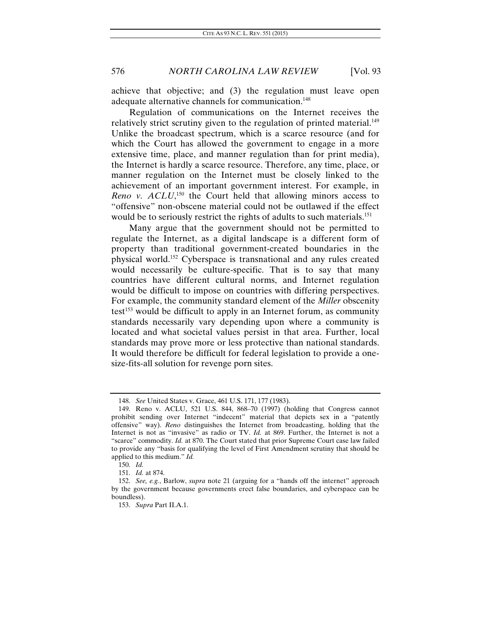achieve that objective; and (3) the regulation must leave open adequate alternative channels for communication.<sup>148</sup>

Regulation of communications on the Internet receives the relatively strict scrutiny given to the regulation of printed material.<sup>149</sup> Unlike the broadcast spectrum, which is a scarce resource (and for which the Court has allowed the government to engage in a more extensive time, place, and manner regulation than for print media), the Internet is hardly a scarce resource. Therefore, any time, place, or manner regulation on the Internet must be closely linked to the achievement of an important government interest. For example, in Reno v. ACLU,<sup>150</sup> the Court held that allowing minors access to "offensive" non-obscene material could not be outlawed if the effect would be to seriously restrict the rights of adults to such materials.<sup>151</sup>

Many argue that the government should not be permitted to regulate the Internet, as a digital landscape is a different form of property than traditional government-created boundaries in the physical world.152 Cyberspace is transnational and any rules created would necessarily be culture-specific. That is to say that many countries have different cultural norms, and Internet regulation would be difficult to impose on countries with differing perspectives. For example, the community standard element of the *Miller* obscenity  $test^{153}$  would be difficult to apply in an Internet forum, as community standards necessarily vary depending upon where a community is located and what societal values persist in that area. Further, local standards may prove more or less protective than national standards. It would therefore be difficult for federal legislation to provide a onesize-fits-all solution for revenge porn sites.

<sup>148.</sup> *See* United States v. Grace, 461 U.S. 171, 177 (1983).

 <sup>149.</sup> Reno v. ACLU, 521 U.S. 844, 868–70 (1997) (holding that Congress cannot prohibit sending over Internet "indecent" material that depicts sex in a "patently offensive" way). *Reno* distinguishes the Internet from broadcasting, holding that the Internet is not as "invasive" as radio or TV. *Id.* at 869. Further, the Internet is not a "scarce" commodity. *Id.* at 870. The Court stated that prior Supreme Court case law failed to provide any "basis for qualifying the level of First Amendment scrutiny that should be applied to this medium." *Id.* 

 <sup>150.</sup> *Id.*

 <sup>151.</sup> *Id.* at 874.

<sup>152.</sup> *See, e.g.*, Barlow, *supra* note 21 (arguing for a "hands off the internet" approach by the government because governments erect false boundaries, and cyberspace can be boundless).

<sup>153.</sup> *Supra* Part II.A.1.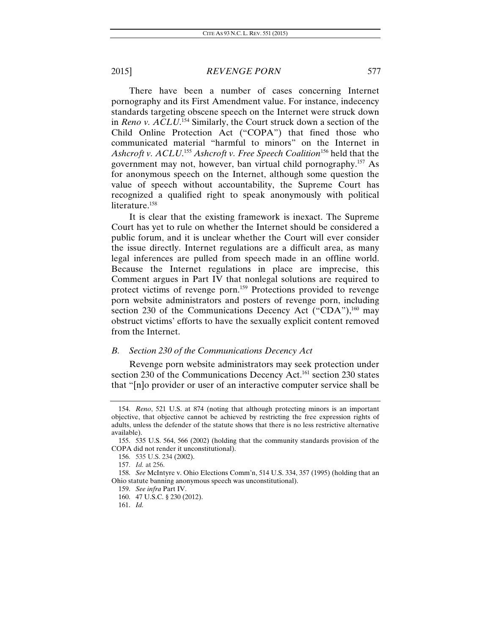There have been a number of cases concerning Internet pornography and its First Amendment value. For instance, indecency standards targeting obscene speech on the Internet were struck down in *Reno v. ACLU*. 154 Similarly, the Court struck down a section of the Child Online Protection Act ("COPA") that fined those who communicated material "harmful to minors" on the Internet in *Ashcroft v. ACLU*. <sup>155</sup> *Ashcroft v. Free Speech Coalition*156 held that the government may not, however, ban virtual child pornography.157 As for anonymous speech on the Internet, although some question the value of speech without accountability, the Supreme Court has recognized a qualified right to speak anonymously with political literature.<sup>158</sup>

It is clear that the existing framework is inexact. The Supreme Court has yet to rule on whether the Internet should be considered a public forum, and it is unclear whether the Court will ever consider the issue directly. Internet regulations are a difficult area, as many legal inferences are pulled from speech made in an offline world. Because the Internet regulations in place are imprecise, this Comment argues in Part IV that nonlegal solutions are required to protect victims of revenge porn.159 Protections provided to revenge porn website administrators and posters of revenge porn, including section 230 of the Communications Decency Act  $("CDA")$ ,<sup>160</sup> may obstruct victims' efforts to have the sexually explicit content removed from the Internet.

## *B. Section 230 of the Communications Decency Act*

Revenge porn website administrators may seek protection under section 230 of the Communications Decency Act.<sup>161</sup> section 230 states that "[n]o provider or user of an interactive computer service shall be

 <sup>154.</sup> *Reno*, 521 U.S. at 874 (noting that although protecting minors is an important objective, that objective cannot be achieved by restricting the free expression rights of adults, unless the defender of the statute shows that there is no less restrictive alternative available).

 <sup>155. 535</sup> U.S. 564, 566 (2002) (holding that the community standards provision of the COPA did not render it unconstitutional).

<sup>156. 535</sup> U.S. 234 (2002).

<sup>157.</sup> *Id.* at 256.

<sup>158.</sup> *See* McIntyre v. Ohio Elections Comm'n, 514 U.S. 334, 357 (1995) (holding that an Ohio statute banning anonymous speech was unconstitutional).

<sup>159.</sup> *See infra* Part IV.

 <sup>160. 47</sup> U.S.C. § 230 (2012).

 <sup>161.</sup> *Id.*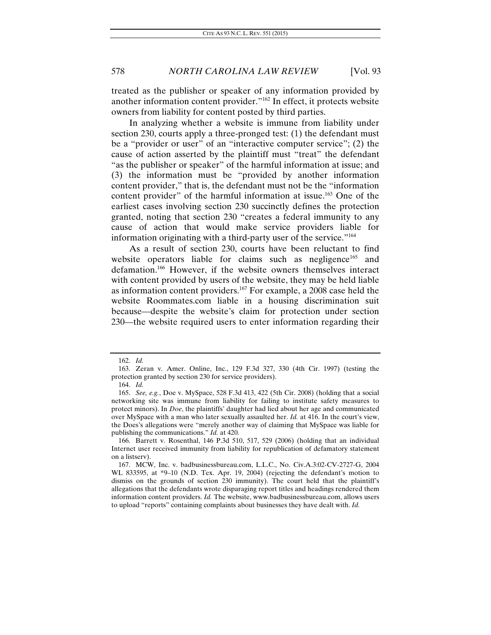treated as the publisher or speaker of any information provided by another information content provider."162 In effect, it protects website owners from liability for content posted by third parties.

In analyzing whether a website is immune from liability under section 230, courts apply a three-pronged test: (1) the defendant must be a "provider or user" of an "interactive computer service"; (2) the cause of action asserted by the plaintiff must "treat" the defendant "as the publisher or speaker" of the harmful information at issue; and (3) the information must be "provided by another information content provider," that is, the defendant must not be the "information content provider" of the harmful information at issue.<sup>163</sup> One of the earliest cases involving section 230 succinctly defines the protection granted, noting that section 230 "creates a federal immunity to any cause of action that would make service providers liable for information originating with a third-party user of the service."164

As a result of section 230, courts have been reluctant to find website operators liable for claims such as negligence<sup>165</sup> and defamation.166 However, if the website owners themselves interact with content provided by users of the website, they may be held liable as information content providers.167 For example, a 2008 case held the website Roommates.com liable in a housing discrimination suit because—despite the website's claim for protection under section 230—the website required users to enter information regarding their

<sup>162.</sup> *Id.* 

 <sup>163.</sup> Zeran v. Amer. Online, Inc., 129 F.3d 327, 330 (4th Cir. 1997) (testing the protection granted by section 230 for service providers).

<sup>164.</sup> *Id.*

 <sup>165.</sup> *See, e.g.*, Doe v. MySpace, 528 F.3d 413, 422 (5th Cir. 2008) (holding that a social networking site was immune from liability for failing to institute safety measures to protect minors). In *Doe*, the plaintiffs' daughter had lied about her age and communicated over MySpace with a man who later sexually assaulted her. *Id.* at 416. In the court's view, the Does's allegations were "merely another way of claiming that MySpace was liable for publishing the communications." *Id.* at 420.

 <sup>166.</sup> Barrett v. Rosenthal, 146 P.3d 510, 517, 529 (2006) (holding that an individual Internet user received immunity from liability for republication of defamatory statement on a listserv).

 <sup>167.</sup> MCW, Inc. v. badbusinessbureau.com, L.L.C., No. Civ.A.3:02-CV-2727-G, 2004 WL 833595, at \*9–10 (N.D. Tex. Apr. 19, 2004) (rejecting the defendant's motion to dismiss on the grounds of section 230 immunity). The court held that the plaintiff's allegations that the defendants wrote disparaging report titles and headings rendered them information content providers. *Id.* The website, www.badbusinessbureau.com, allows users to upload "reports" containing complaints about businesses they have dealt with. *Id.*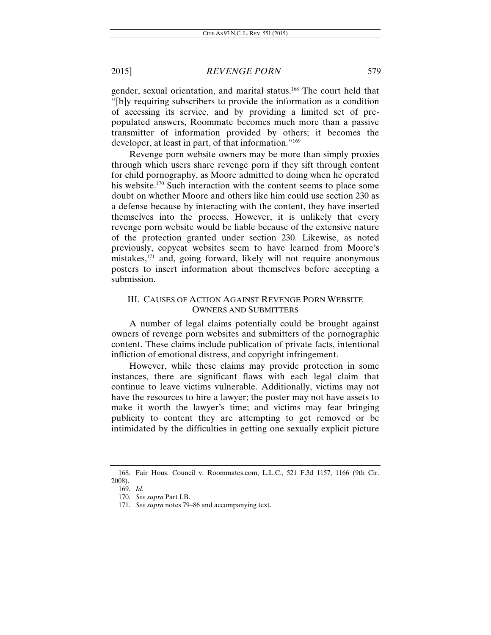gender, sexual orientation, and marital status.168 The court held that "[b]y requiring subscribers to provide the information as a condition of accessing its service, and by providing a limited set of prepopulated answers, Roommate becomes much more than a passive transmitter of information provided by others; it becomes the developer, at least in part, of that information."169

Revenge porn website owners may be more than simply proxies through which users share revenge porn if they sift through content for child pornography, as Moore admitted to doing when he operated his website.<sup>170</sup> Such interaction with the content seems to place some doubt on whether Moore and others like him could use section 230 as a defense because by interacting with the content, they have inserted themselves into the process. However, it is unlikely that every revenge porn website would be liable because of the extensive nature of the protection granted under section 230. Likewise, as noted previously, copycat websites seem to have learned from Moore's mistakes,171 and, going forward, likely will not require anonymous posters to insert information about themselves before accepting a submission.

## III. CAUSES OF ACTION AGAINST REVENGE PORN WEBSITE OWNERS AND SUBMITTERS

A number of legal claims potentially could be brought against owners of revenge porn websites and submitters of the pornographic content. These claims include publication of private facts, intentional infliction of emotional distress, and copyright infringement.

However, while these claims may provide protection in some instances, there are significant flaws with each legal claim that continue to leave victims vulnerable. Additionally, victims may not have the resources to hire a lawyer; the poster may not have assets to make it worth the lawyer's time; and victims may fear bringing publicity to content they are attempting to get removed or be intimidated by the difficulties in getting one sexually explicit picture

 <sup>168.</sup> Fair Hous. Council v. Roommates.com, L.L.C., 521 F.3d 1157, 1166 (9th Cir. 2008).

<sup>169.</sup> *Id.* 

<sup>170.</sup> *See supra* Part I.B.

<sup>171.</sup> *See supra* notes 79–86 and accompanying text.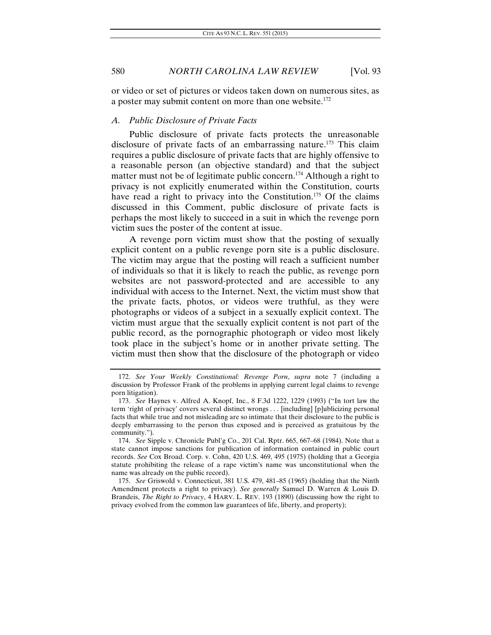or video or set of pictures or videos taken down on numerous sites, as a poster may submit content on more than one website.<sup>172</sup>

#### *A. Public Disclosure of Private Facts*

Public disclosure of private facts protects the unreasonable disclosure of private facts of an embarrassing nature.<sup>173</sup> This claim requires a public disclosure of private facts that are highly offensive to a reasonable person (an objective standard) and that the subject matter must not be of legitimate public concern.<sup>174</sup> Although a right to privacy is not explicitly enumerated within the Constitution, courts have read a right to privacy into the Constitution.<sup>175</sup> Of the claims discussed in this Comment, public disclosure of private facts is perhaps the most likely to succeed in a suit in which the revenge porn victim sues the poster of the content at issue.

A revenge porn victim must show that the posting of sexually explicit content on a public revenge porn site is a public disclosure. The victim may argue that the posting will reach a sufficient number of individuals so that it is likely to reach the public, as revenge porn websites are not password-protected and are accessible to any individual with access to the Internet. Next, the victim must show that the private facts, photos, or videos were truthful, as they were photographs or videos of a subject in a sexually explicit context. The victim must argue that the sexually explicit content is not part of the public record, as the pornographic photograph or video most likely took place in the subject's home or in another private setting. The victim must then show that the disclosure of the photograph or video

175. *See* Griswold v. Connecticut, 381 U.S. 479, 481–85 (1965) (holding that the Ninth Amendment protects a right to privacy). *See generally* Samuel D. Warren & Louis D. Brandeis, *The Right to Privacy*, 4 HARV. L. REV. 193 (1890) (discussing how the right to privacy evolved from the common law guarantees of life, liberty, and property);

<sup>172.</sup> *See Your Weekly Constitutional: Revenge Porn*, *supra* note 7 (including a discussion by Professor Frank of the problems in applying current legal claims to revenge porn litigation).

<sup>173.</sup> *See* Haynes v. Alfred A. Knopf, Inc., 8 F.3d 1222, 1229 (1993) ("In tort law the term 'right of privacy' covers several distinct wrongs . . . [including] [p]ublicizing personal facts that while true and not misleading are so intimate that their disclosure to the public is deeply embarrassing to the person thus exposed and is perceived as gratuitous by the community.").

<sup>174.</sup> *See* Sipple v. Chronicle Publ'g Co., 201 Cal. Rptr. 665, 667–68 (1984). Note that a state cannot impose sanctions for publication of information contained in public court records. *See* Cox Broad. Corp. v. Cohn, 420 U.S. 469, 495 (1975) (holding that a Georgia statute prohibiting the release of a rape victim's name was unconstitutional when the name was already on the public record).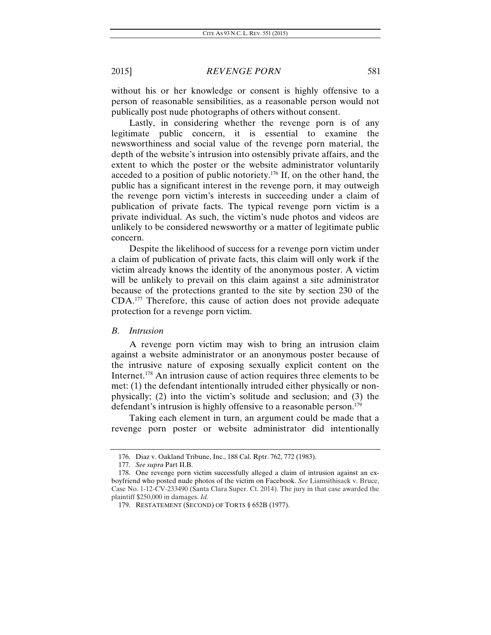without his or her knowledge or consent is highly offensive to a person of reasonable sensibilities, as a reasonable person would not publically post nude photographs of others without consent.

Lastly, in considering whether the revenge porn is of any legitimate public concern, it is essential to examine the newsworthiness and social value of the revenge porn material, the depth of the website's intrusion into ostensibly private affairs, and the extent to which the poster or the website administrator voluntarily acceded to a position of public notoriety.176 If, on the other hand, the public has a significant interest in the revenge porn, it may outweigh the revenge porn victim's interests in succeeding under a claim of publication of private facts. The typical revenge porn victim is a private individual. As such, the victim's nude photos and videos are unlikely to be considered newsworthy or a matter of legitimate public concern.

Despite the likelihood of success for a revenge porn victim under a claim of publication of private facts, this claim will only work if the victim already knows the identity of the anonymous poster. A victim will be unlikely to prevail on this claim against a site administrator because of the protections granted to the site by section 230 of the CDA.177 Therefore, this cause of action does not provide adequate protection for a revenge porn victim.

## *B. Intrusion*

A revenge porn victim may wish to bring an intrusion claim against a website administrator or an anonymous poster because of the intrusive nature of exposing sexually explicit content on the Internet.178 An intrusion cause of action requires three elements to be met: (1) the defendant intentionally intruded either physically or nonphysically; (2) into the victim's solitude and seclusion; and (3) the defendant's intrusion is highly offensive to a reasonable person.<sup>179</sup>

Taking each element in turn, an argument could be made that a revenge porn poster or website administrator did intentionally

 <sup>176.</sup> Diaz v. Oakland Tribune, Inc., 188 Cal. Rptr. 762, 772 (1983).

<sup>177.</sup> *See supra* Part II.B.

 <sup>178.</sup> One revenge porn victim successfully alleged a claim of intrusion against an exboyfriend who posted nude photos of the victim on Facebook. *See* Liamsithisack v. Bruce, Case No. 1-12-CV-233490 (Santa Clara Super. Ct. 2014). The jury in that case awarded the plaintiff \$250,000 in damages. *Id.* 

 <sup>179.</sup> RESTATEMENT (SECOND) OF TORTS § 652B (1977).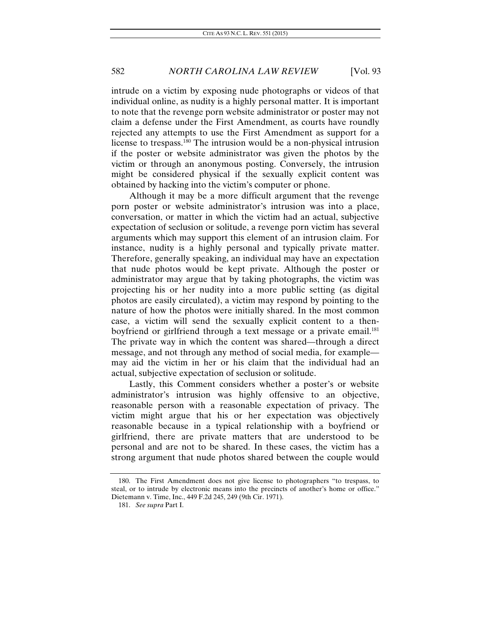intrude on a victim by exposing nude photographs or videos of that individual online, as nudity is a highly personal matter. It is important to note that the revenge porn website administrator or poster may not claim a defense under the First Amendment, as courts have roundly rejected any attempts to use the First Amendment as support for a license to trespass.180 The intrusion would be a non-physical intrusion if the poster or website administrator was given the photos by the victim or through an anonymous posting. Conversely, the intrusion might be considered physical if the sexually explicit content was obtained by hacking into the victim's computer or phone.

Although it may be a more difficult argument that the revenge porn poster or website administrator's intrusion was into a place, conversation, or matter in which the victim had an actual, subjective expectation of seclusion or solitude, a revenge porn victim has several arguments which may support this element of an intrusion claim. For instance, nudity is a highly personal and typically private matter. Therefore, generally speaking, an individual may have an expectation that nude photos would be kept private. Although the poster or administrator may argue that by taking photographs, the victim was projecting his or her nudity into a more public setting (as digital photos are easily circulated), a victim may respond by pointing to the nature of how the photos were initially shared. In the most common case, a victim will send the sexually explicit content to a thenboyfriend or girlfriend through a text message or a private email.<sup>181</sup> The private way in which the content was shared—through a direct message, and not through any method of social media, for example may aid the victim in her or his claim that the individual had an actual, subjective expectation of seclusion or solitude.

Lastly, this Comment considers whether a poster's or website administrator's intrusion was highly offensive to an objective, reasonable person with a reasonable expectation of privacy. The victim might argue that his or her expectation was objectively reasonable because in a typical relationship with a boyfriend or girlfriend, there are private matters that are understood to be personal and are not to be shared. In these cases, the victim has a strong argument that nude photos shared between the couple would

 <sup>180.</sup> The First Amendment does not give license to photographers "to trespass, to steal, or to intrude by electronic means into the precincts of another's home or office." Dietemann v. Time, Inc., 449 F.2d 245, 249 (9th Cir. 1971).

<sup>181.</sup> *See supra* Part I.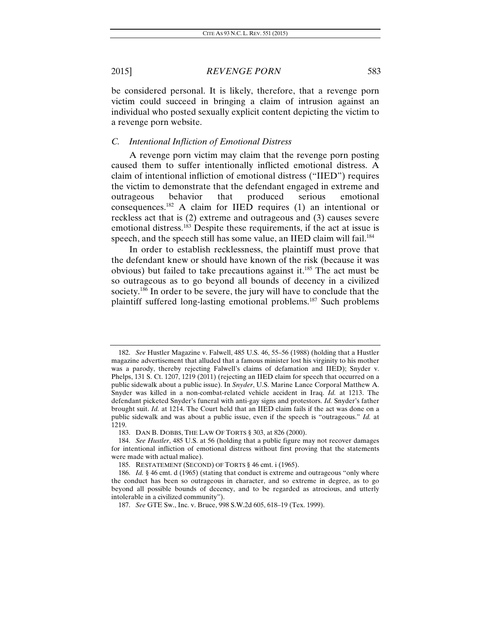be considered personal. It is likely, therefore, that a revenge porn victim could succeed in bringing a claim of intrusion against an individual who posted sexually explicit content depicting the victim to a revenge porn website.

## *C. Intentional Infliction of Emotional Distress*

A revenge porn victim may claim that the revenge porn posting caused them to suffer intentionally inflicted emotional distress. A claim of intentional infliction of emotional distress ("IIED") requires the victim to demonstrate that the defendant engaged in extreme and outrageous behavior that produced serious emotional consequences.182 A claim for IIED requires (1) an intentional or reckless act that is (2) extreme and outrageous and (3) causes severe emotional distress.<sup>183</sup> Despite these requirements, if the act at issue is speech, and the speech still has some value, an IIED claim will fail.<sup>184</sup>

In order to establish recklessness, the plaintiff must prove that the defendant knew or should have known of the risk (because it was obvious) but failed to take precautions against it.<sup>185</sup> The act must be so outrageous as to go beyond all bounds of decency in a civilized society.<sup>186</sup> In order to be severe, the jury will have to conclude that the plaintiff suffered long-lasting emotional problems.187 Such problems

<sup>182.</sup> *See* Hustler Magazine v. Falwell, 485 U.S. 46, 55–56 (1988) (holding that a Hustler magazine advertisement that alluded that a famous minister lost his virginity to his mother was a parody, thereby rejecting Falwell's claims of defamation and IIED); Snyder v. Phelps, 131 S. Ct. 1207, 1219 (2011) (rejecting an IIED claim for speech that occurred on a public sidewalk about a public issue). In *Snyder*, U.S. Marine Lance Corporal Matthew A. Snyder was killed in a non-combat-related vehicle accident in Iraq. *Id.* at 1213. The defendant picketed Snyder's funeral with anti-gay signs and protestors. *Id.* Snyder's father brought suit. *Id.* at 1214. The Court held that an IIED claim fails if the act was done on a public sidewalk and was about a public issue, even if the speech is "outrageous." *Id.* at 1219.

 <sup>183.</sup> DAN B. DOBBS, THE LAW OF TORTS § 303, at 826 (2000).

<sup>184.</sup> *See Hustler*, 485 U.S. at 56 (holding that a public figure may not recover damages for intentional infliction of emotional distress without first proving that the statements were made with actual malice).

 <sup>185.</sup> RESTATEMENT (SECOND) OF TORTS § 46 cmt. i (1965).

<sup>186.</sup> *Id.* § 46 cmt. d (1965) (stating that conduct is extreme and outrageous "only where the conduct has been so outrageous in character, and so extreme in degree, as to go beyond all possible bounds of decency, and to be regarded as atrocious, and utterly intolerable in a civilized community").

<sup>187.</sup> *See* GTE Sw., Inc. v. Bruce, 998 S.W.2d 605, 618–19 (Tex. 1999).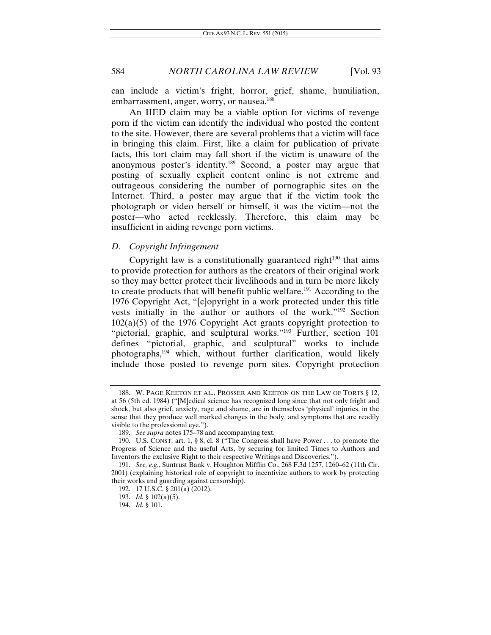can include a victim's fright, horror, grief, shame, humiliation, embarrassment, anger, worry, or nausea.<sup>188</sup>

An IIED claim may be a viable option for victims of revenge porn if the victim can identify the individual who posted the content to the site. However, there are several problems that a victim will face in bringing this claim. First, like a claim for publication of private facts, this tort claim may fall short if the victim is unaware of the anonymous poster's identity.189 Second, a poster may argue that posting of sexually explicit content online is not extreme and outrageous considering the number of pornographic sites on the Internet. Third, a poster may argue that if the victim took the photograph or video herself or himself, it was the victim—not the poster—who acted recklessly. Therefore, this claim may be insufficient in aiding revenge porn victims.

# *D. Copyright Infringement*

Copyright law is a constitutionally guaranteed right<sup>190</sup> that aims to provide protection for authors as the creators of their original work so they may better protect their livelihoods and in turn be more likely to create products that will benefit public welfare.191 According to the 1976 Copyright Act, "[c]opyright in a work protected under this title vests initially in the author or authors of the work."192 Section  $102(a)(5)$  of the 1976 Copyright Act grants copyright protection to "pictorial, graphic, and sculptural works."<sup>193</sup> Further, section 101 defines "pictorial, graphic, and sculptural" works to include photographs,<sup>194</sup> which, without further clarification, would likely include those posted to revenge porn sites. Copyright protection

 <sup>188.</sup> W. PAGE KEETON ET AL., PROSSER AND KEETON ON THE LAW OF TORTS § 12, at 56 (5th ed. 1984) ("[M]edical science has recognized long since that not only fright and shock, but also grief, anxiety, rage and shame, are in themselves 'physical' injuries, in the sense that they produce well marked changes in the body, and symptoms that are readily visible to the professional eye.").

<sup>189.</sup> *See supra* notes 175–78 and accompanying text.

 <sup>190.</sup> U.S. CONST. art. 1, § 8, cl. 8 ("The Congress shall have Power . . . to promote the Progress of Science and the useful Arts, by securing for limited Times to Authors and Inventors the exclusive Right to their respective Writings and Discoveries.").

<sup>191.</sup> *See, e.g.*, Suntrust Bank v. Houghton Mifflin Co., 268 F.3d 1257, 1260–62 (11th Cir. 2001) (explaining historical role of copyright to incentivize authors to work by protecting their works and guarding against censorship).

 <sup>192. 17</sup> U.S.C. § 201(a) (2012).

<sup>193.</sup> *Id.* § 102(a)(5).

<sup>194.</sup> *Id.* § 101.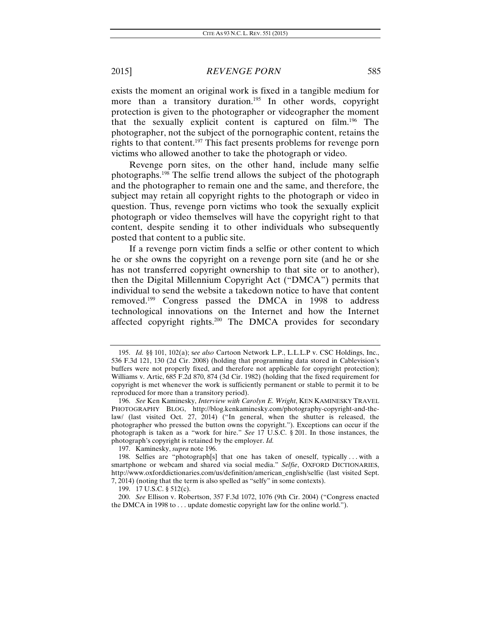exists the moment an original work is fixed in a tangible medium for more than a transitory duration.<sup>195</sup> In other words, copyright protection is given to the photographer or videographer the moment that the sexually explicit content is captured on film.196 The photographer, not the subject of the pornographic content, retains the rights to that content.<sup>197</sup> This fact presents problems for revenge porn victims who allowed another to take the photograph or video.

Revenge porn sites, on the other hand, include many selfie photographs.198 The selfie trend allows the subject of the photograph and the photographer to remain one and the same, and therefore, the subject may retain all copyright rights to the photograph or video in question. Thus, revenge porn victims who took the sexually explicit photograph or video themselves will have the copyright right to that content, despite sending it to other individuals who subsequently posted that content to a public site.

If a revenge porn victim finds a selfie or other content to which he or she owns the copyright on a revenge porn site (and he or she has not transferred copyright ownership to that site or to another), then the Digital Millennium Copyright Act ("DMCA") permits that individual to send the website a takedown notice to have that content removed.199 Congress passed the DMCA in 1998 to address technological innovations on the Internet and how the Internet affected copyright rights.<sup>200</sup> The DMCA provides for secondary

197. Kaminesky, *supra* note 196.

<sup>195.</sup> *Id.* §§ 101, 102(a); s*ee also* Cartoon Network L.P., L.L.L.P v. CSC Holdings, Inc., 536 F.3d 121, 130 (2d Cir. 2008) (holding that programming data stored in Cablevision's buffers were not properly fixed, and therefore not applicable for copyright protection); Williams v. Artic, 685 F.2d 870, 874 (3d Cir. 1982) (holding that the fixed requirement for copyright is met whenever the work is sufficiently permanent or stable to permit it to be reproduced for more than a transitory period).

<sup>196.</sup> *See* Ken Kaminesky, *Interview with Carolyn E. Wright*, KEN KAMINESKY TRAVEL PHOTOGRAPHY BLOG, http://blog.kenkaminesky.com/photography-copyright-and-thelaw/ (last visited Oct. 27, 2014) ("In general, when the shutter is released, the photographer who pressed the button owns the copyright."). Exceptions can occur if the photograph is taken as a "work for hire." *See* 17 U.S.C. § 201. In those instances, the photograph's copyright is retained by the employer. *Id.*

 <sup>198.</sup> Selfies are "photograph[s] that one has taken of oneself, typically . . . with a smartphone or webcam and shared via social media." *Selfie*, OXFORD DICTIONARIES, http://www.oxforddictionaries.com/us/definition/american\_english/selfie (last visited Sept. 7, 2014) (noting that the term is also spelled as "selfy" in some contexts).

 <sup>199. 17</sup> U.S.C. § 512(c).

<sup>200.</sup> *See* Ellison v. Robertson, 357 F.3d 1072, 1076 (9th Cir. 2004) ("Congress enacted the DMCA in 1998 to . . . update domestic copyright law for the online world.").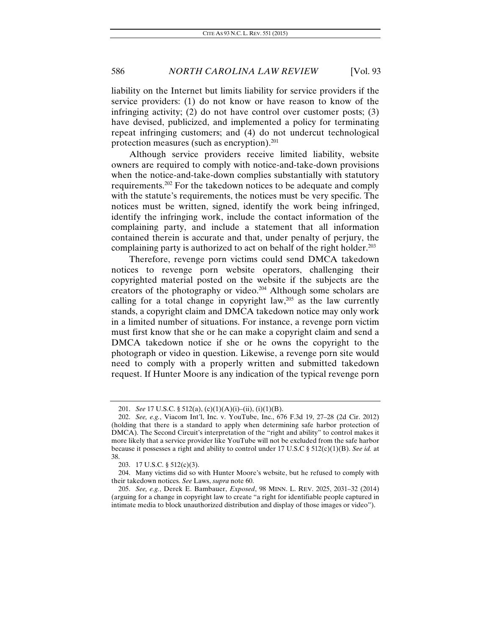liability on the Internet but limits liability for service providers if the service providers: (1) do not know or have reason to know of the infringing activity; (2) do not have control over customer posts; (3) have devised, publicized, and implemented a policy for terminating repeat infringing customers; and (4) do not undercut technological protection measures (such as encryption). $201$ 

Although service providers receive limited liability, website owners are required to comply with notice-and-take-down provisions when the notice-and-take-down complies substantially with statutory requirements.202 For the takedown notices to be adequate and comply with the statute's requirements, the notices must be very specific. The notices must be written, signed, identify the work being infringed, identify the infringing work, include the contact information of the complaining party, and include a statement that all information contained therein is accurate and that, under penalty of perjury, the complaining party is authorized to act on behalf of the right holder.<sup>203</sup>

Therefore, revenge porn victims could send DMCA takedown notices to revenge porn website operators, challenging their copyrighted material posted on the website if the subjects are the creators of the photography or video.<sup>204</sup> Although some scholars are calling for a total change in copyright law,  $205$  as the law currently stands, a copyright claim and DMCA takedown notice may only work in a limited number of situations. For instance, a revenge porn victim must first know that she or he can make a copyright claim and send a DMCA takedown notice if she or he owns the copyright to the photograph or video in question. Likewise, a revenge porn site would need to comply with a properly written and submitted takedown request. If Hunter Moore is any indication of the typical revenge porn

<sup>201.</sup> *See* 17 U.S.C. § 512(a), (c)(1)(A)(i)–(ii), (i)(1)(B).

<sup>202.</sup> *See, e.g.*, Viacom Int'l, Inc. v. YouTube, Inc., 676 F.3d 19, 27–28 (2d Cir. 2012) (holding that there is a standard to apply when determining safe harbor protection of DMCA). The Second Circuit's interpretation of the "right and ability" to control makes it more likely that a service provider like YouTube will not be excluded from the safe harbor because it possesses a right and ability to control under 17 U.S.C § 512(c)(1)(B). *See id.* at 38.

 <sup>203. 17</sup> U.S.C. § 512(c)(3).

 <sup>204.</sup> Many victims did so with Hunter Moore's website, but he refused to comply with their takedown notices. *See* Laws, *supra* note 60.

<sup>205.</sup> *See, e.g.*, Derek E. Bambauer, *Exposed*, 98 MINN. L. REV. 2025, 2031–32 (2014) (arguing for a change in copyright law to create "a right for identifiable people captured in intimate media to block unauthorized distribution and display of those images or video").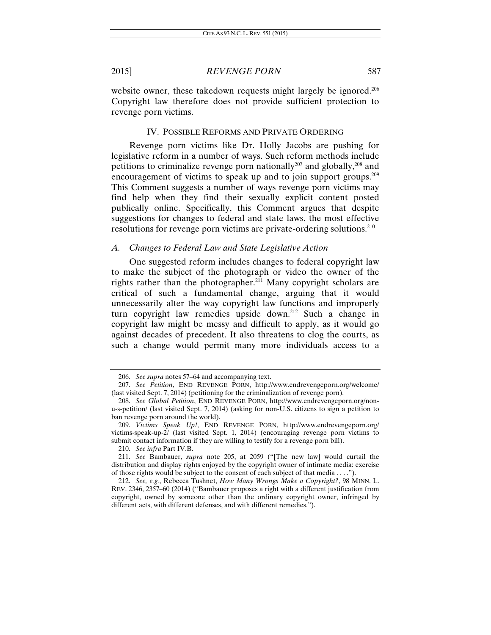website owner, these takedown requests might largely be ignored.<sup>206</sup> Copyright law therefore does not provide sufficient protection to revenge porn victims.

#### IV. POSSIBLE REFORMS AND PRIVATE ORDERING

Revenge porn victims like Dr. Holly Jacobs are pushing for legislative reform in a number of ways. Such reform methods include petitions to criminalize revenge porn nationally<sup>207</sup> and globally,<sup>208</sup> and encouragement of victims to speak up and to join support groups.<sup>209</sup> This Comment suggests a number of ways revenge porn victims may find help when they find their sexually explicit content posted publically online. Specifically, this Comment argues that despite suggestions for changes to federal and state laws, the most effective resolutions for revenge porn victims are private-ordering solutions.<sup>210</sup>

#### *A. Changes to Federal Law and State Legislative Action*

One suggested reform includes changes to federal copyright law to make the subject of the photograph or video the owner of the rights rather than the photographer.<sup>211</sup> Many copyright scholars are critical of such a fundamental change, arguing that it would unnecessarily alter the way copyright law functions and improperly turn copyright law remedies upside down.212 Such a change in copyright law might be messy and difficult to apply, as it would go against decades of precedent. It also threatens to clog the courts, as such a change would permit many more individuals access to a

<sup>206.</sup> *See supra* notes 57–64 and accompanying text.

<sup>207.</sup> *See Petition*, END REVENGE PORN, http://www.endrevengeporn.org/welcome/ (last visited Sept. 7, 2014) (petitioning for the criminalization of revenge porn).

<sup>208.</sup> *See Global Petition*, END REVENGE PORN, http://www.endrevengeporn.org/nonu-s-petition/ (last visited Sept. 7, 2014) (asking for non-U.S. citizens to sign a petition to ban revenge porn around the world).

<sup>209.</sup> *Victims Speak Up!*, END REVENGE PORN, http://www.endrevengeporn.org/ victims-speak-up-2/ (last visited Sept. 1, 2014) (encouraging revenge porn victims to submit contact information if they are willing to testify for a revenge porn bill).

<sup>210.</sup> *See infra* Part IV.B.

<sup>211.</sup> *See* Bambauer, *supra* note 205, at 2059 ("[The new law] would curtail the distribution and display rights enjoyed by the copyright owner of intimate media: exercise of those rights would be subject to the consent of each subject of that media . . . .").

<sup>212.</sup> *See, e.g.*, Rebecca Tushnet, *How Many Wrongs Make a Copyright?*, 98 MINN. L. REV. 2346, 2357–60 (2014) ("Bambauer proposes a right with a different justification from copyright, owned by someone other than the ordinary copyright owner, infringed by different acts, with different defenses, and with different remedies.").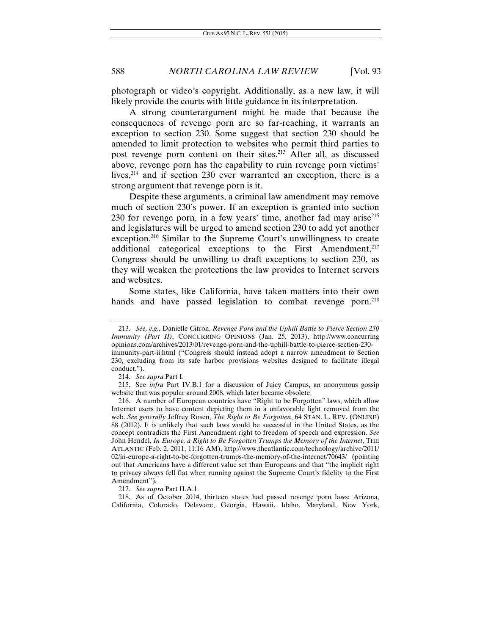photograph or video's copyright. Additionally, as a new law, it will likely provide the courts with little guidance in its interpretation.

A strong counterargument might be made that because the consequences of revenge porn are so far-reaching, it warrants an exception to section 230. Some suggest that section 230 should be amended to limit protection to websites who permit third parties to post revenge porn content on their sites.<sup>213</sup> After all, as discussed above, revenge porn has the capability to ruin revenge porn victims' lives,214 and if section 230 ever warranted an exception, there is a strong argument that revenge porn is it.

Despite these arguments, a criminal law amendment may remove much of section 230's power. If an exception is granted into section 230 for revenge porn, in a few years' time, another fad may arise<sup>215</sup> and legislatures will be urged to amend section 230 to add yet another exception.216 Similar to the Supreme Court's unwillingness to create additional categorical exceptions to the First Amendment, $217$ Congress should be unwilling to draft exceptions to section 230, as they will weaken the protections the law provides to Internet servers and websites.

Some states, like California, have taken matters into their own hands and have passed legislation to combat revenge porn.<sup>218</sup>

<sup>213.</sup> *See, e.g.*, Danielle Citron, *Revenge Porn and the Uphill Battle to Pierce Section 230 Immunity (Part II)*, CONCURRING OPINIONS (Jan. 25, 2013), http://www.concurring opinions.com/archives/2013/01/revenge-porn-and-the-uphill-battle-to-pierce-section-230 immunity-part-ii.html ("Congress should instead adopt a narrow amendment to Section 230, excluding from its safe harbor provisions websites designed to facilitate illegal conduct.").

<sup>214.</sup> *See supra* Part I.

<sup>215.</sup> See *infra* Part IV.B.1 for a discussion of Juicy Campus, an anonymous gossip website that was popular around 2008, which later became obsolete.

 <sup>216.</sup> A number of European countries have "Right to be Forgotten" laws, which allow Internet users to have content depicting them in a unfavorable light removed from the web. *See generally* Jeffrey Rosen, *The Right to Be Forgotten*, 64 STAN. L. REV. (ONLINE) 88 (2012). It is unlikely that such laws would be successful in the United States, as the concept contradicts the First Amendment right to freedom of speech and expression. *See*  John Hendel, *In Europe, a Right to Be Forgotten Trumps the Memory of the Internet*, THE ATLANTIC (Feb. 2, 2011, 11:16 AM), http://www.theatlantic.com/technology/archive/2011/ 02/in-europe-a-right-to-be-forgotten-trumps-the-memory-of-the-internet/70643/ (pointing out that Americans have a different value set than Europeans and that "the implicit right to privacy always fell flat when running against the Supreme Court's fidelity to the First Amendment").

<sup>217.</sup> *See supra* Part II.A.1.

 <sup>218.</sup> As of October 2014, thirteen states had passed revenge porn laws: Arizona, California, Colorado, Delaware, Georgia, Hawaii, Idaho, Maryland, New York,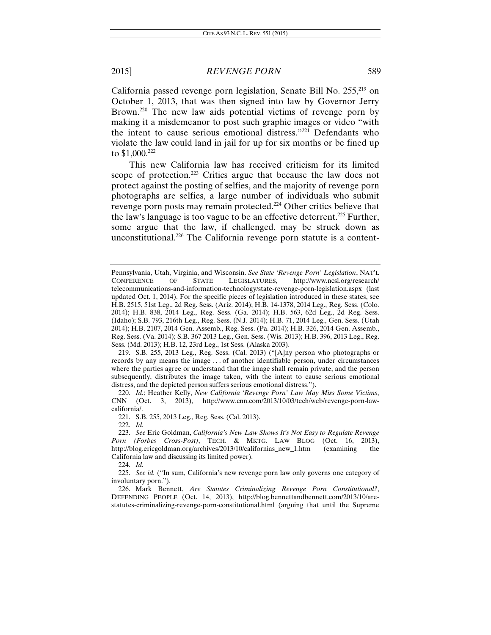California passed revenge porn legislation, Senate Bill No. 255,219 on October 1, 2013, that was then signed into law by Governor Jerry Brown.<sup>220</sup> The new law aids potential victims of revenge porn by making it a misdemeanor to post such graphic images or video "with the intent to cause serious emotional distress."221 Defendants who violate the law could land in jail for up for six months or be fined up to \$1,000.222

This new California law has received criticism for its limited scope of protection.<sup>223</sup> Critics argue that because the law does not protect against the posting of selfies, and the majority of revenge porn photographs are selfies, a large number of individuals who submit revenge porn posts may remain protected.224 Other critics believe that the law's language is too vague to be an effective deterrent.<sup>225</sup> Further, some argue that the law, if challenged, may be struck down as unconstitutional.<sup>226</sup> The California revenge porn statute is a content-

 219. S.B. 255, 2013 Leg., Reg. Sess. (Cal. 2013) ("[A]ny person who photographs or records by any means the image . . . of another identifiable person, under circumstances where the parties agree or understand that the image shall remain private, and the person subsequently, distributes the image taken, with the intent to cause serious emotional distress, and the depicted person suffers serious emotional distress.").

220. *Id.*; Heather Kelly, *New California 'Revenge Porn' Law May Miss Some Victims*, CNN (Oct. 3, 2013), http://www.cnn.com/2013/10/03/tech/web/revenge-porn-lawcalifornia/.

221. S.B. 255, 2013 Leg., Reg. Sess. (Cal. 2013).

222. *Id.* 

224. *Id.* 

225. *See id.* ("In sum, California's new revenge porn law only governs one category of involuntary porn.").

 226. Mark Bennett, *Are Statutes Criminalizing Revenge Porn Constitutional?*, DEFENDING PEOPLE (Oct. 14, 2013), http://blog.bennettandbennett.com/2013/10/arestatutes-criminalizing-revenge-porn-constitutional.html (arguing that until the Supreme

Pennsylvania, Utah, Virginia, and Wisconsin. *See State 'Revenge Porn' Legislation*, NAT'L CONFERENCE OF STATE LEGISLATURES, http://www.ncsl.org/research/ telecommunications-and-information-technology/state-revenge-porn-legislation.aspx (last updated Oct. 1, 2014). For the specific pieces of legislation introduced in these states, see H.B. 2515, 51st Leg., 2d Reg. Sess. (Ariz. 2014); H.B. 14-1378, 2014 Leg., Reg. Sess. (Colo. 2014); H.B. 838, 2014 Leg., Reg. Sess. (Ga. 2014); H.B. 563, 62d Leg., 2d Reg. Sess. (Idaho); S.B. 793, 216th Leg., Reg. Sess. (N.J. 2014); H.B. 71, 2014 Leg., Gen. Sess. (Utah 2014); H.B. 2107, 2014 Gen. Assemb., Reg. Sess. (Pa. 2014); H.B. 326, 2014 Gen. Assemb., Reg. Sess. (Va. 2014); S.B. 367 2013 Leg., Gen. Sess. (Wis. 2013); H.B. 396, 2013 Leg., Reg. Sess. (Md. 2013); H.B. 12, 23rd Leg., 1st Sess. (Alaska 2003).

<sup>223.</sup> *See* Eric Goldman, *California's New Law Shows It's Not Easy to Regulate Revenge Porn (Forbes Cross-Post)*, TECH. & MKTG. LAW BLOG (Oct. 16, 2013), http://blog.ericgoldman.org/archives/2013/10/californias\_new\_1.htm (examining the California law and discussing its limited power).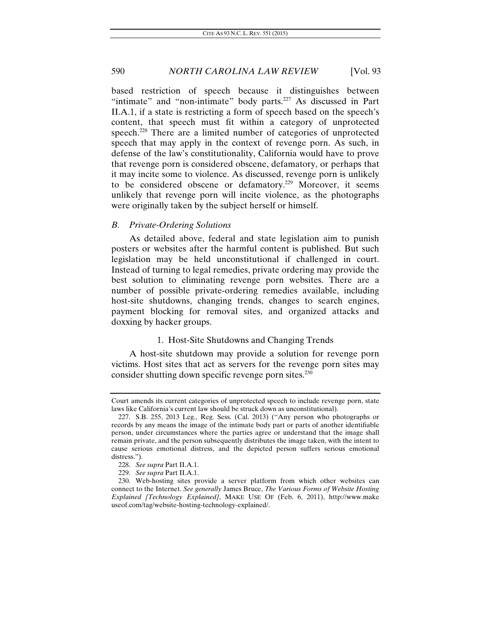based restriction of speech because it distinguishes between "intimate" and "non-intimate" body parts. $227$  As discussed in Part II.A.1, if a state is restricting a form of speech based on the speech's content, that speech must fit within a category of unprotected speech.<sup>228</sup> There are a limited number of categories of unprotected speech that may apply in the context of revenge porn. As such, in defense of the law's constitutionality, California would have to prove that revenge porn is considered obscene, defamatory, or perhaps that it may incite some to violence. As discussed, revenge porn is unlikely to be considered obscene or defamatory.<sup>229</sup> Moreover, it seems unlikely that revenge porn will incite violence, as the photographs were originally taken by the subject herself or himself.

### *B. Private-Ordering Solutions*

As detailed above, federal and state legislation aim to punish posters or websites after the harmful content is published. But such legislation may be held unconstitutional if challenged in court. Instead of turning to legal remedies, private ordering may provide the best solution to eliminating revenge porn websites. There are a number of possible private-ordering remedies available, including host-site shutdowns, changing trends, changes to search engines, payment blocking for removal sites, and organized attacks and doxxing by hacker groups.

## 1. Host-Site Shutdowns and Changing Trends

A host-site shutdown may provide a solution for revenge porn victims. Host sites that act as servers for the revenge porn sites may consider shutting down specific revenge porn sites.<sup>230</sup>

Court amends its current categories of unprotected speech to include revenge porn, state laws like California's current law should be struck down as unconstitutional).

 <sup>227.</sup> S.B. 255, 2013 Leg., Reg. Sess. (Cal. 2013) ("Any person who photographs or records by any means the image of the intimate body part or parts of another identifiable person, under circumstances where the parties agree or understand that the image shall remain private, and the person subsequently distributes the image taken, with the intent to cause serious emotional distress, and the depicted person suffers serious emotional distress.").

<sup>228.</sup> *See supra* Part II.A.1.

<sup>229.</sup> *See supra* Part II.A.1.

 <sup>230.</sup> Web-hosting sites provide a server platform from which other websites can connect to the Internet. *See generally* James Bruce, *The Various Forms of Website Hosting Explained [Technology Explained]*, MAKE USE OF (Feb. 6, 2011), http://www.make useof.com/tag/website-hosting-technology-explained/.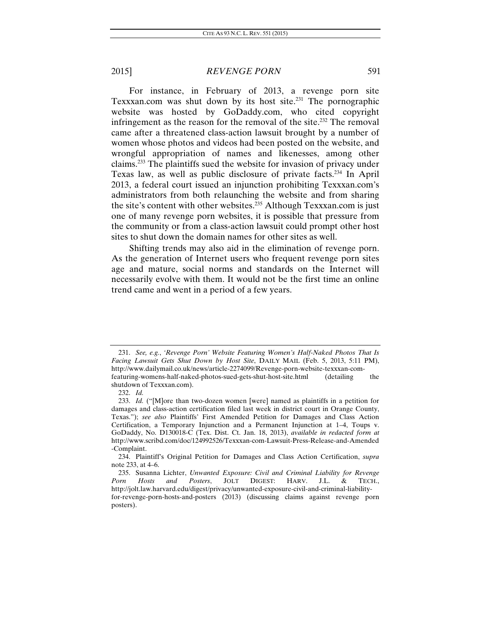For instance, in February of 2013, a revenge porn site Texxxan.com was shut down by its host site.<sup>231</sup> The pornographic website was hosted by GoDaddy.com, who cited copyright infringement as the reason for the removal of the site.<sup>232</sup> The removal came after a threatened class-action lawsuit brought by a number of women whose photos and videos had been posted on the website, and wrongful appropriation of names and likenesses, among other claims.233 The plaintiffs sued the website for invasion of privacy under Texas law, as well as public disclosure of private facts.<sup>234</sup> In April 2013, a federal court issued an injunction prohibiting Texxxan.com's administrators from both relaunching the website and from sharing the site's content with other websites.<sup>235</sup> Although Texxxan.com is just one of many revenge porn websites, it is possible that pressure from the community or from a class-action lawsuit could prompt other host sites to shut down the domain names for other sites as well.

Shifting trends may also aid in the elimination of revenge porn. As the generation of Internet users who frequent revenge porn sites age and mature, social norms and standards on the Internet will necessarily evolve with them. It would not be the first time an online trend came and went in a period of a few years.

<sup>231.</sup> *See, e.g.*, *'Revenge Porn' Website Featuring Women's Half-Naked Photos That Is Facing Lawsuit Gets Shut Down by Host Site*, DAILY MAIL (Feb. 5, 2013, 5:11 PM), http://www.dailymail.co.uk/news/article-2274099/Revenge-porn-website-texxxan-comfeaturing-womens-half-naked-photos-sued-gets-shut-host-site.html (detailing the shutdown of Texxxan.com).

<sup>232.</sup> *Id.*

<sup>233.</sup> *Id.* ("[M]ore than two-dozen women [were] named as plaintiffs in a petition for damages and class-action certification filed last week in district court in Orange County, Texas."); *see also* Plaintiffs' First Amended Petition for Damages and Class Action Certification, a Temporary Injunction and a Permanent Injunction at 1–4, Toups v. GoDaddy, No. D130018-C (Tex. Dist. Ct. Jan. 18, 2013), *available in redacted form at*  http://www.scribd.com/doc/124992526/Texxxan-com-Lawsuit-Press-Release-and-Amended -Complaint.

<sup>234.</sup> Plaintiff's Original Petition for Damages and Class Action Certification, *supra*  note 233, at 4–6.

<sup>235.</sup> Susanna Lichter, *Unwanted Exposure: Civil and Criminal Liability for Revenge*  Porn Hosts and Posters, JOLT DIGEST: HARV. J.L. http://jolt.law.harvard.edu/digest/privacy/unwanted-exposure-civil-and-criminal-liabilityfor-revenge-porn-hosts-and-posters (2013) (discussing claims against revenge porn posters).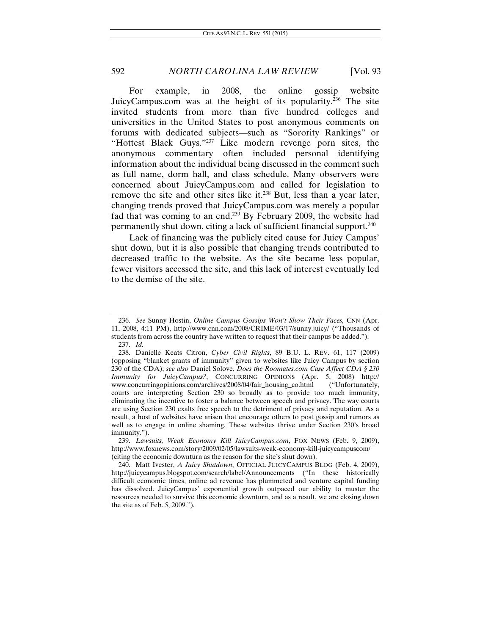For example, in 2008, the online gossip website JuicyCampus.com was at the height of its popularity.236 The site invited students from more than five hundred colleges and universities in the United States to post anonymous comments on forums with dedicated subjects—such as "Sorority Rankings" or "Hottest Black Guys."<sup>237</sup> Like modern revenge porn sites, the anonymous commentary often included personal identifying information about the individual being discussed in the comment such as full name, dorm hall, and class schedule. Many observers were concerned about JuicyCampus.com and called for legislation to remove the site and other sites like it.<sup>238</sup> But, less than a year later, changing trends proved that JuicyCampus.com was merely a popular fad that was coming to an end.<sup>239</sup> By February 2009, the website had permanently shut down, citing a lack of sufficient financial support.240

Lack of financing was the publicly cited cause for Juicy Campus' shut down, but it is also possible that changing trends contributed to decreased traffic to the website. As the site became less popular, fewer visitors accessed the site, and this lack of interest eventually led to the demise of the site.

<sup>236.</sup> *See* Sunny Hostin, *Online Campus Gossips Won't Show Their Faces,* CNN (Apr. 11, 2008, 4:11 PM), http://www.cnn.com/2008/CRIME/03/17/sunny.juicy/ ("Thousands of students from across the country have written to request that their campus be added."). 237. *Id.*

 <sup>238.</sup> Danielle Keats Citron, *Cyber Civil Rights*, 89 B.U. L. REV. 61, 117 (2009) (opposing "blanket grants of immunity" given to websites like Juicy Campus by section 230 of the CDA); *see also* Daniel Solove, *Does the Roomates.com Case Affect CDA § 230 Immunity for JuicyCampus?*, CONCURRING OPINIONS (Apr. 5, 2008) http:// www.concurringopinions.com/archives/2008/04/fair\_housing\_co.html ("Unfortunately, courts are interpreting Section 230 so broadly as to provide too much immunity, eliminating the incentive to foster a balance between speech and privacy. The way courts are using Section 230 exalts free speech to the detriment of privacy and reputation. As a result, a host of websites have arisen that encourage others to post gossip and rumors as well as to engage in online shaming. These websites thrive under Section 230's broad immunity.").

<sup>239.</sup> *Lawsuits, Weak Economy Kill JuicyCampus.com*, FOX NEWS (Feb. 9, 2009), http://www.foxnews.com/story/2009/02/05/lawsuits-weak-economy-kill-juicycampuscom/ (citing the economic downturn as the reason for the site's shut down).

<sup>240.</sup> Matt Ivester, *A Juicy Shutdown*, OFFICIAL JUICYCAMPUS BLOG (Feb. 4, 2009), http://juicycampus.blogspot.com/search/label/Announcements ("In these historically difficult economic times, online ad revenue has plummeted and venture capital funding has dissolved. JuicyCampus' exponential growth outpaced our ability to muster the resources needed to survive this economic downturn, and as a result, we are closing down the site as of Feb. 5, 2009.").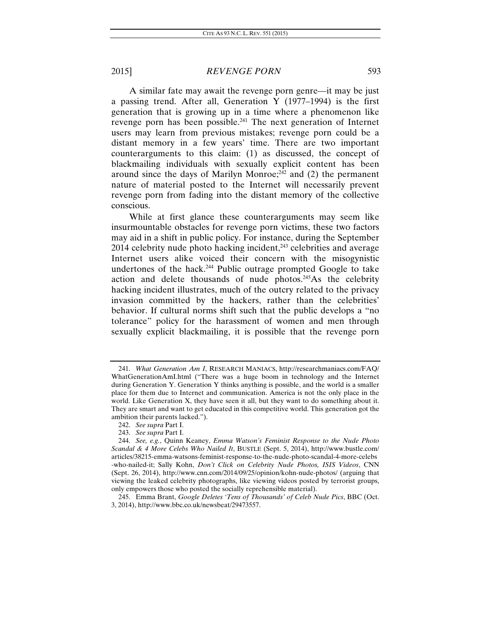A similar fate may await the revenge porn genre—it may be just a passing trend. After all, Generation Y (1977–1994) is the first generation that is growing up in a time where a phenomenon like revenge porn has been possible.<sup>241</sup> The next generation of Internet users may learn from previous mistakes; revenge porn could be a distant memory in a few years' time. There are two important counterarguments to this claim: (1) as discussed, the concept of blackmailing individuals with sexually explicit content has been around since the days of Marilyn Monroe;<sup>242</sup> and (2) the permanent nature of material posted to the Internet will necessarily prevent revenge porn from fading into the distant memory of the collective conscious.

While at first glance these counterarguments may seem like insurmountable obstacles for revenge porn victims, these two factors may aid in a shift in public policy. For instance, during the September  $2014$  celebrity nude photo hacking incident,<sup> $243$ </sup> celebrities and average Internet users alike voiced their concern with the misogynistic undertones of the hack.<sup>244</sup> Public outrage prompted Google to take action and delete thousands of nude photos.<sup>245</sup>As the celebrity hacking incident illustrates, much of the outcry related to the privacy invasion committed by the hackers, rather than the celebrities' behavior. If cultural norms shift such that the public develops a "no tolerance" policy for the harassment of women and men through sexually explicit blackmailing, it is possible that the revenge porn

<sup>241.</sup> *What Generation Am I*, RESEARCH MANIACS, http://researchmaniacs.com/FAQ/ WhatGenerationAmI.html ("There was a huge boom in technology and the Internet during Generation Y. Generation Y thinks anything is possible, and the world is a smaller place for them due to Internet and communication. America is not the only place in the world. Like Generation X, they have seen it all, but they want to do something about it. They are smart and want to get educated in this competitive world. This generation got the ambition their parents lacked.").

<sup>242.</sup> *See supra* Part I.

<sup>243.</sup> *See supra* Part I.

<sup>244.</sup> *See, e.g.*, Quinn Keaney, *Emma Watson's Feminist Response to the Nude Photo Scandal & 4 More Celebs Who Nailed It*, BUSTLE (Sept. 5, 2014), http://www.bustle.com/ articles/38215-emma-watsons-feminist-response-to-the-nude-photo-scandal-4-more-celebs -who-nailed-it; Sally Kohn, *Don't Click on Celebrity Nude Photos, ISIS Videos*, CNN (Sept. 26, 2014), http://www.cnn.com/2014/09/25/opinion/kohn-nude-photos/ (arguing that viewing the leaked celebrity photographs, like viewing videos posted by terrorist groups, only empowers those who posted the socially reprehensible material).

 <sup>245.</sup> Emma Brant, *Google Deletes 'Tens of Thousands' of Celeb Nude Pics*, BBC (Oct. 3, 2014), http://www.bbc.co.uk/newsbeat/29473557.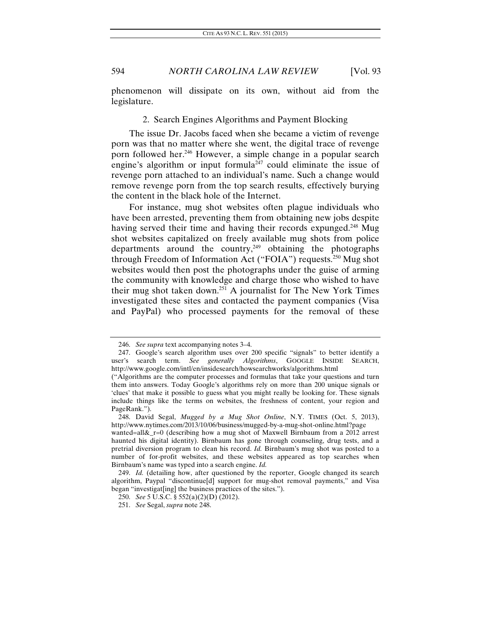phenomenon will dissipate on its own, without aid from the legislature.

#### 2. Search Engines Algorithms and Payment Blocking

The issue Dr. Jacobs faced when she became a victim of revenge porn was that no matter where she went, the digital trace of revenge porn followed her.246 However, a simple change in a popular search engine's algorithm or input formula<sup> $247$ </sup> could eliminate the issue of revenge porn attached to an individual's name. Such a change would remove revenge porn from the top search results, effectively burying the content in the black hole of the Internet.

For instance, mug shot websites often plague individuals who have been arrested, preventing them from obtaining new jobs despite having served their time and having their records expunged.<sup>248</sup> Mug shot websites capitalized on freely available mug shots from police departments around the country,  $249$  obtaining the photographs through Freedom of Information Act ("FOIA") requests.250 Mug shot websites would then post the photographs under the guise of arming the community with knowledge and charge those who wished to have their mug shot taken down.251 A journalist for The New York Times investigated these sites and contacted the payment companies (Visa and PayPal) who processed payments for the removal of these

<sup>246.</sup> *See supra* text accompanying notes 3–4.

 <sup>247.</sup> Google's search algorithm uses over 200 specific "signals" to better identify a user's search term. *See generally Algorithms*, GOOGLE INSIDE SEARCH, http://www.google.com/intl/en/insidesearch/howsearchworks/algorithms.html

<sup>(&</sup>quot;Algorithms are the computer processes and formulas that take your questions and turn them into answers. Today Google's algorithms rely on more than 200 unique signals or 'clues' that make it possible to guess what you might really be looking for. These signals include things like the terms on websites, the freshness of content, your region and PageRank.").

 <sup>248.</sup> David Segal, *Mugged by a Mug Shot Online*, N.Y. TIMES (Oct. 5, 2013), http://www.nytimes.com/2013/10/06/business/mugged-by-a-mug-shot-online.html?page

wanted=all&\_r=0 (describing how a mug shot of Maxwell Birnbaum from a 2012 arrest haunted his digital identity). Birnbaum has gone through counseling, drug tests, and a pretrial diversion program to clean his record. *Id.* Birnbaum's mug shot was posted to a number of for-profit websites, and these websites appeared as top searches when Birnbaum's name was typed into a search engine. *Id.*

<sup>249.</sup> *Id.* (detailing how, after questioned by the reporter, Google changed its search algorithm, Paypal "discontinue[d] support for mug-shot removal payments," and Visa began "investigat[ing] the business practices of the sites.").

<sup>250.</sup> *See* 5 U.S.C. § 552(a)(2)(D) (2012).

<sup>251.</sup> *See* Segal, *supra* note 248.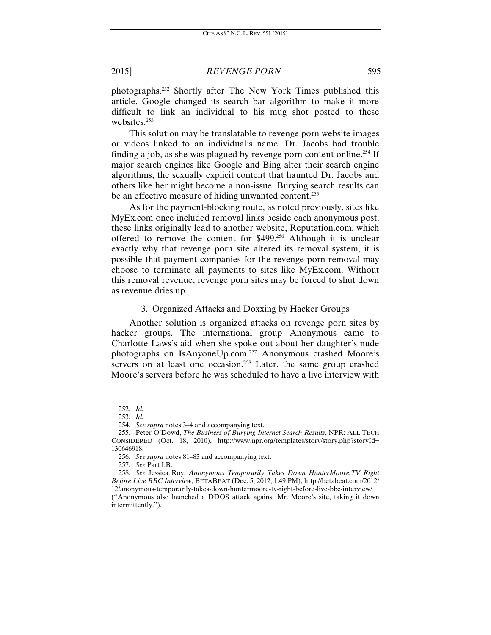photographs.252 Shortly after The New York Times published this article, Google changed its search bar algorithm to make it more difficult to link an individual to his mug shot posted to these websites.<sup>253</sup>

This solution may be translatable to revenge porn website images or videos linked to an individual's name. Dr. Jacobs had trouble finding a job, as she was plagued by revenge porn content online.<sup>254</sup> If major search engines like Google and Bing alter their search engine algorithms, the sexually explicit content that haunted Dr. Jacobs and others like her might become a non-issue. Burying search results can be an effective measure of hiding unwanted content.<sup>255</sup>

As for the payment-blocking route, as noted previously, sites like MyEx.com once included removal links beside each anonymous post; these links originally lead to another website, Reputation.com, which offered to remove the content for \$499.256 Although it is unclear exactly why that revenge porn site altered its removal system, it is possible that payment companies for the revenge porn removal may choose to terminate all payments to sites like MyEx.com. Without this removal revenue, revenge porn sites may be forced to shut down as revenue dries up.

### 3. Organized Attacks and Doxxing by Hacker Groups

Another solution is organized attacks on revenge porn sites by hacker groups. The international group Anonymous came to Charlotte Laws's aid when she spoke out about her daughter's nude photographs on IsAnyoneUp.com.257 Anonymous crashed Moore's servers on at least one occasion.<sup>258</sup> Later, the same group crashed Moore's servers before he was scheduled to have a live interview with

<sup>252.</sup> *Id.* 

<sup>253.</sup> *Id.* 

<sup>254.</sup> *See supra* notes 3–4 and accompanying text.

 <sup>255.</sup> Peter O'Dowd, *The Business of Burying Internet Search Results*, NPR: ALL TECH CONSIDERED (Oct. 18, 2010), http://www.npr.org/templates/story/story.php?storyId= 130646918.

<sup>256.</sup> *See supra* notes 81–83 and accompanying text.

<sup>257.</sup> *See* Part I.B.

<sup>258.</sup> *See* Jessica Roy, *Anonymous Temporarily Takes Down HunterMoore.TV Right Before Live BBC Interview*, BETABEAT (Dec. 5, 2012, 1:49 PM), http://betabeat.com/2012/ 12/anonymous-temporarily-takes-down-huntermoore-tv-right-before-live-bbc-interview/ ("Anonymous also launched a DDOS attack against Mr. Moore's site, taking it down intermittently.").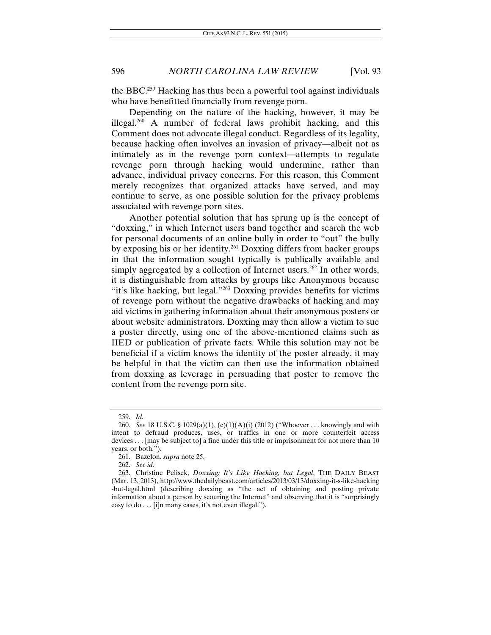the BBC.259 Hacking has thus been a powerful tool against individuals who have benefitted financially from revenge porn.

Depending on the nature of the hacking, however, it may be illegal.<sup>260</sup> A number of federal laws prohibit hacking, and this Comment does not advocate illegal conduct. Regardless of its legality, because hacking often involves an invasion of privacy—albeit not as intimately as in the revenge porn context—attempts to regulate revenge porn through hacking would undermine, rather than advance, individual privacy concerns. For this reason, this Comment merely recognizes that organized attacks have served, and may continue to serve, as one possible solution for the privacy problems associated with revenge porn sites.

Another potential solution that has sprung up is the concept of "doxxing," in which Internet users band together and search the web for personal documents of an online bully in order to "out" the bully by exposing his or her identity.261 Doxxing differs from hacker groups in that the information sought typically is publically available and simply aggregated by a collection of Internet users.<sup>262</sup> In other words, it is distinguishable from attacks by groups like Anonymous because "it's like hacking, but legal."263 Doxxing provides benefits for victims of revenge porn without the negative drawbacks of hacking and may aid victims in gathering information about their anonymous posters or about website administrators. Doxxing may then allow a victim to sue a poster directly, using one of the above-mentioned claims such as IIED or publication of private facts. While this solution may not be beneficial if a victim knows the identity of the poster already, it may be helpful in that the victim can then use the information obtained from doxxing as leverage in persuading that poster to remove the content from the revenge porn site.

<sup>259.</sup> *Id.*

<sup>260.</sup> *See* 18 U.S.C. § 1029(a)(1), (c)(1)(A)(i) (2012) ("Whoever . . . knowingly and with intent to defraud produces, uses, or traffics in one or more counterfeit access devices . . . [may be subject to] a fine under this title or imprisonment for not more than 10 years, or both.").

<sup>261.</sup> Bazelon, *supra* note 25.

<sup>262.</sup> *See id.* 

<sup>263.</sup> Christine Pelisek, *Doxxing: It's Like Hacking, but Legal*, THE DAILY BEAST (Mar. 13, 2013), http://www.thedailybeast.com/articles/2013/03/13/doxxing-it-s-like-hacking -but-legal.html (describing doxxing as "the act of obtaining and posting private information about a person by scouring the Internet" and observing that it is "surprisingly easy to do . . . [i]n many cases, it's not even illegal.").